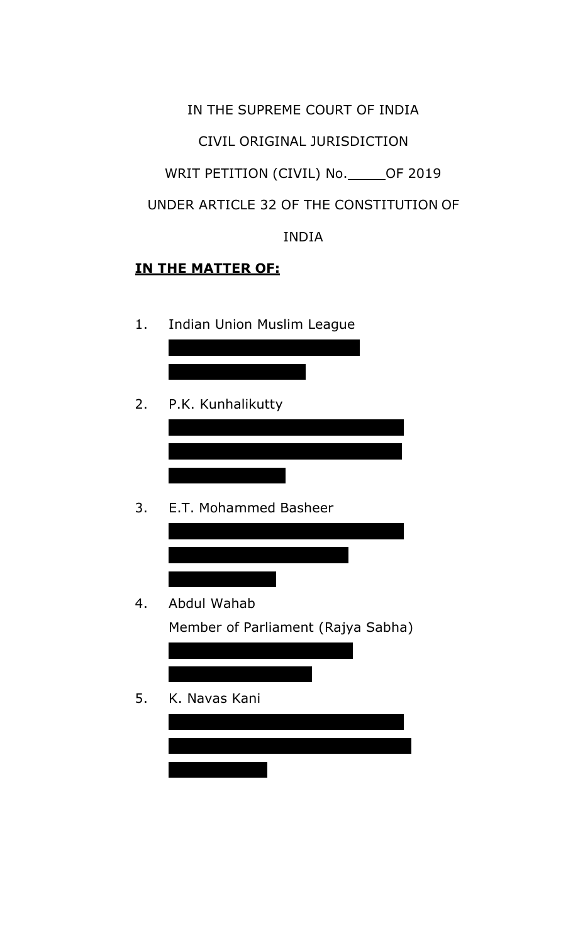IN THE SUPREME COURT OF INDIA CIVIL ORIGINAL JURISDICTION WRIT PETITION (CIVIL) No. \_\_\_\_\_ OF 2019 UNDER ARTICLE 32 OF THE CONSTITUTION OF INDIA

# **IN THE MATTER OF:**

1. Indian Union Muslim League

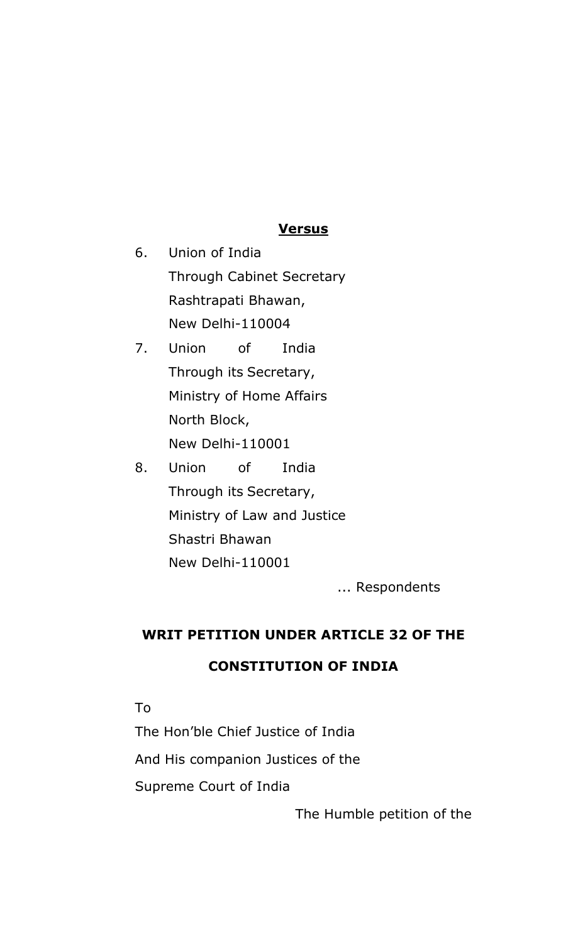#### **Versus**

- 6. Union of India Through Cabinet Secretary Rashtrapati Bhawan, New Delhi-110004
- 7. Union of India Through its Secretary, Ministry of Home Affairs North Block, New Delhi-110001
- 8. Union of India Through its Secretary, Ministry of Law and Justice Shastri Bhawan New Delhi-110001

... Respondents

## **WRIT PETITION UNDER ARTICLE 32 OF THE**

### **CONSTITUTION OF INDIA**

To

The Hon'ble Chief Justice of India

And His companion Justices of the

Supreme Court of India

The Humble petition of the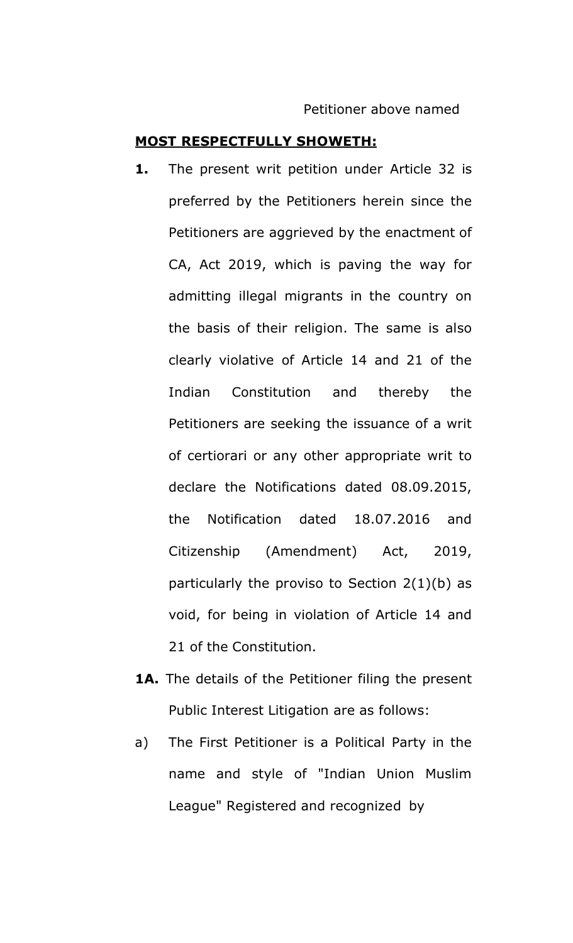#### **MOST RESPECTFULLY SHOWETH:**

- **1.** The present writ petition under Article 32 is preferred by the Petitioners herein since the Petitioners are aggrieved by the enactment of CA, Act 2019, which is paving the way for admitting illegal migrants in the country on the basis of their religion. The same is also clearly violative of Article 14 and 21 of the Indian Constitution and thereby the Petitioners are seeking the issuance of a writ of certiorari or any other appropriate writ to declare the Notifications dated 08.09.2015, the Notification dated 18.07.2016 and Citizenship (Amendment) Act, 2019, particularly the proviso to Section 2(1)(b) as void, for being in violation of Article 14 and 21 of the Constitution.
- **1A.** The details of the Petitioner filing the present Public Interest Litigation are as follows:
- a) The First Petitioner is a Political Party in the name and style of "Indian Union Muslim League" Registered and recognized by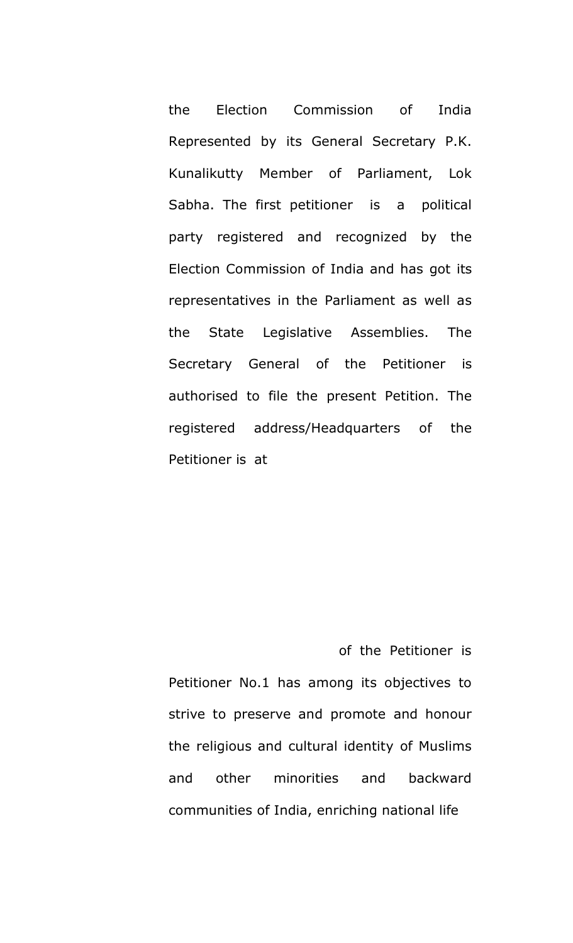the Election Commission of India Represented by its General Secretary P.K. Kunalikutty Member of Parliament, Lok Sabha. The first petitioner is a political party registered and recognized by the Election Commission of India and has got its representatives in the Parliament as well as the State Legislative Assemblies. The Secretary General of the Petitioner is authorised to file the present Petition. The registered address/Headquarters of the Petitioner is at

of the Petitioner is Petitioner No.1 has among its objectives to strive to preserve and promote and honour the religious and cultural identity of Muslims and other minorities and backward communities of India, enriching national life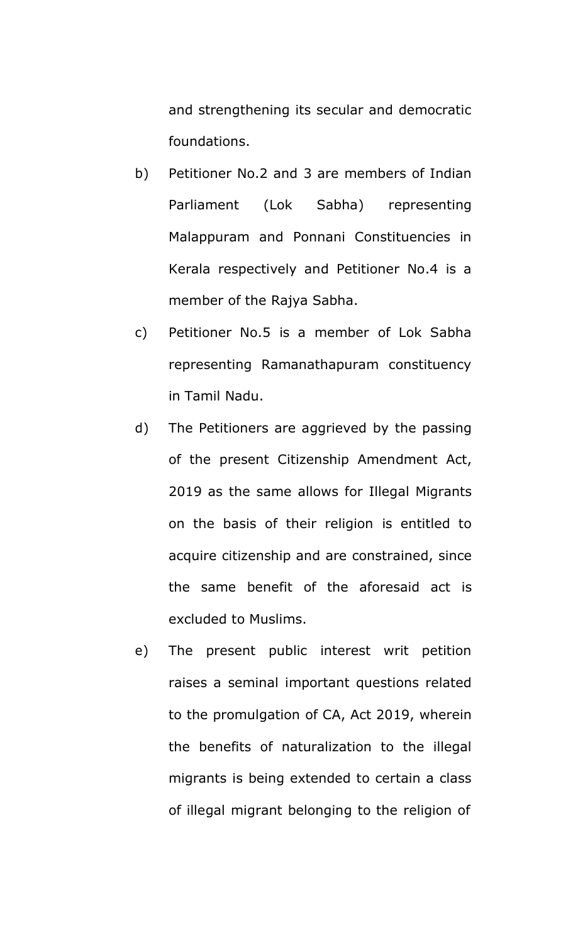and strengthening its secular and democratic foundations.

- b) Petitioner No.2 and 3 are members of Indian Parliament (Lok Sabha) representing Malappuram and Ponnani Constituencies in Kerala respectively and Petitioner No.4 is a member of the Rajya Sabha.
- c) Petitioner No.5 is a member of Lok Sabha representing Ramanathapuram constituency in Tamil Nadu.
- d) The Petitioners are aggrieved by the passing of the present Citizenship Amendment Act, 2019 as the same allows for Illegal Migrants on the basis of their religion is entitled to acquire citizenship and are constrained, since the same benefit of the aforesaid act is excluded to Muslims.
- e) The present public interest writ petition raises a seminal important questions related to the promulgation of CA, Act 2019, wherein the benefits of naturalization to the illegal migrants is being extended to certain a class of illegal migrant belonging to the religion of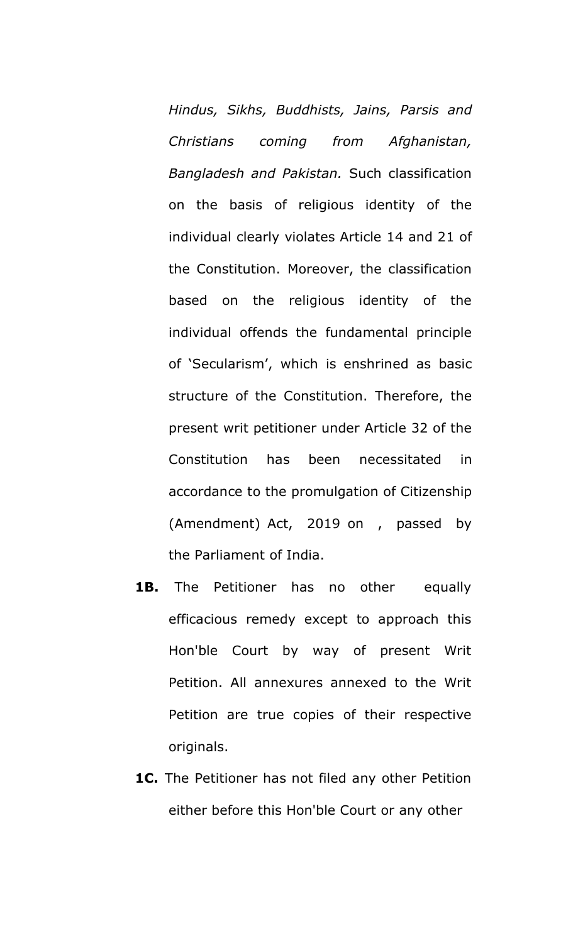*Hindus, Sikhs, Buddhists, Jains, Parsis and Christians coming from Afghanistan, Bangladesh and Pakistan.* Such classification on the basis of religious identity of the individual clearly violates Article 14 and 21 of the Constitution. Moreover, the classification based on the religious identity of the individual offends the fundamental principle of 'Secularism', which is enshrined as basic structure of the Constitution. Therefore, the present writ petitioner under Article 32 of the Constitution has been necessitated in accordance to the promulgation of Citizenship (Amendment) Act, 2019 on , passed by the Parliament of India.

- **1B.** The Petitioner has no other equally efficacious remedy except to approach this Hon'ble Court by way of present Writ Petition. All annexures annexed to the Writ Petition are true copies of their respective originals.
- **1C.** The Petitioner has not filed any other Petition either before this Hon'ble Court or any other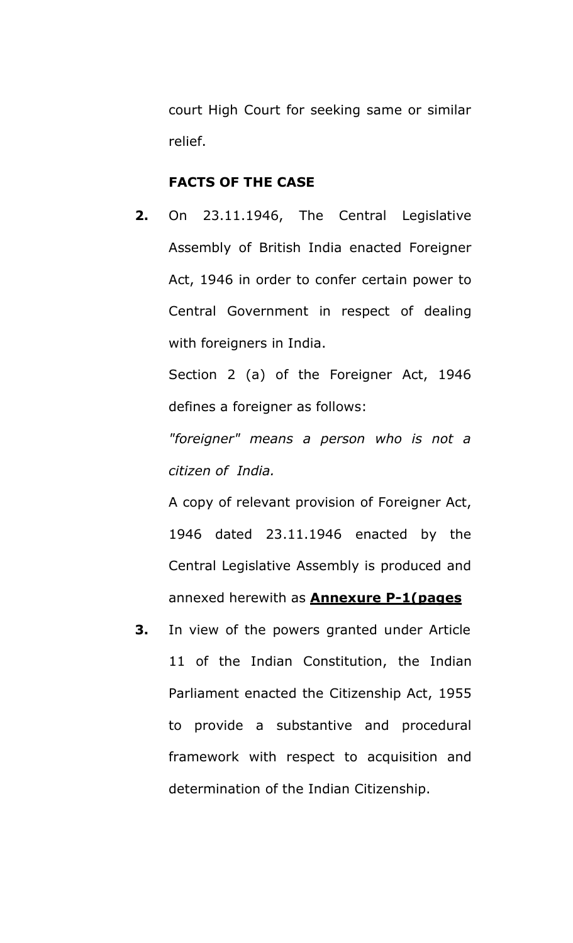court High Court for seeking same or similar relief.

#### **FACTS OF THE CASE**

**2.** On 23.11.1946, The Central Legislative Assembly of British India enacted Foreigner Act, 1946 in order to confer certain power to Central Government in respect of dealing with foreigners in India.

Section 2 (a) of the Foreigner Act, 1946 defines a foreigner as follows:

*"foreigner" means a person who is not a citizen of India.*

A copy of relevant provision of Foreigner Act, 1946 dated 23.11.1946 enacted by the Central Legislative Assembly is produced and annexed herewith as **Annexure P-1(pages**

**3.** In view of the powers granted under Article 11 of the Indian Constitution, the Indian Parliament enacted the Citizenship Act, 1955 to provide a substantive and procedural framework with respect to acquisition and determination of the Indian Citizenship.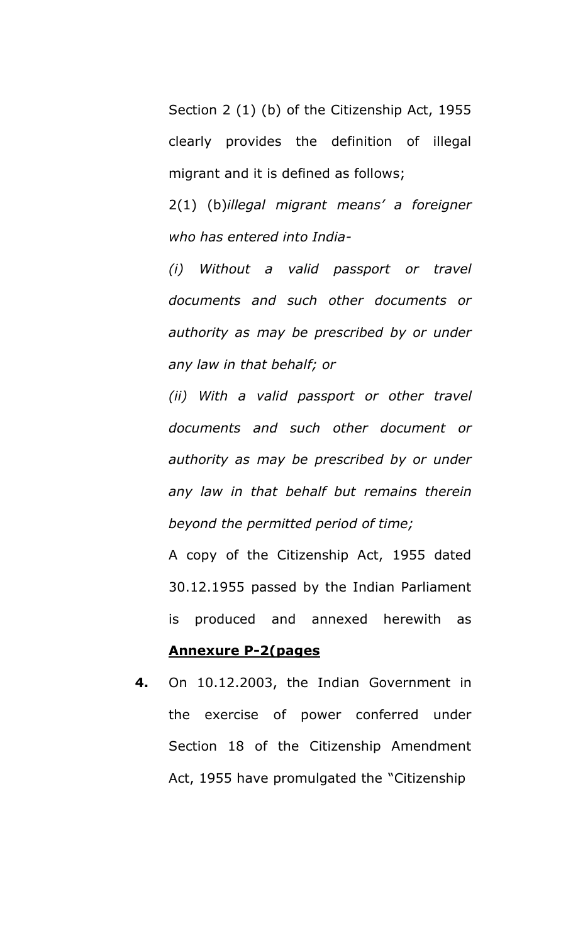Section 2 (1) (b) of the Citizenship Act, 1955 clearly provides the definition of illegal migrant and it is defined as follows;

2(1) (b)*illegal migrant means' a foreigner who has entered into India-*

*(i) Without a valid passport or travel documents and such other documents or authority as may be prescribed by or under any law in that behalf; or*

*(ii) With a valid passport or other travel documents and such other document or authority as may be prescribed by or under any law in that behalf but remains therein beyond the permitted period of time;*

A copy of the Citizenship Act, 1955 dated 30.12.1955 passed by the Indian Parliament is produced and annexed herewith as

#### **Annexure P-2(pages**

**4.** On 10.12.2003, the Indian Government in the exercise of power conferred under Section 18 of the Citizenship Amendment Act, 1955 have promulgated the "Citizenship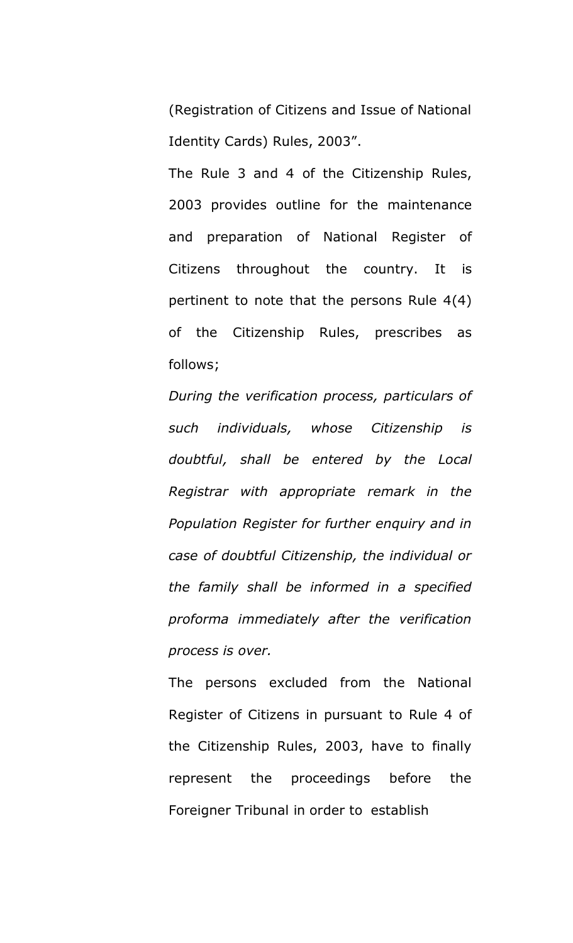(Registration of Citizens and Issue of National Identity Cards) Rules, 2003".

The Rule 3 and 4 of the Citizenship Rules, 2003 provides outline for the maintenance and preparation of National Register of Citizens throughout the country. It is pertinent to note that the persons Rule 4(4) of the Citizenship Rules, prescribes as follows;

*During the verification process, particulars of such individuals, whose Citizenship is doubtful, shall be entered by the Local Registrar with appropriate remark in the Population Register for further enquiry and in case of doubtful Citizenship, the individual or the family shall be informed in a specified proforma immediately after the verification process is over.*

The persons excluded from the National Register of Citizens in pursuant to Rule 4 of the Citizenship Rules, 2003, have to finally represent the proceedings before the Foreigner Tribunal in order to establish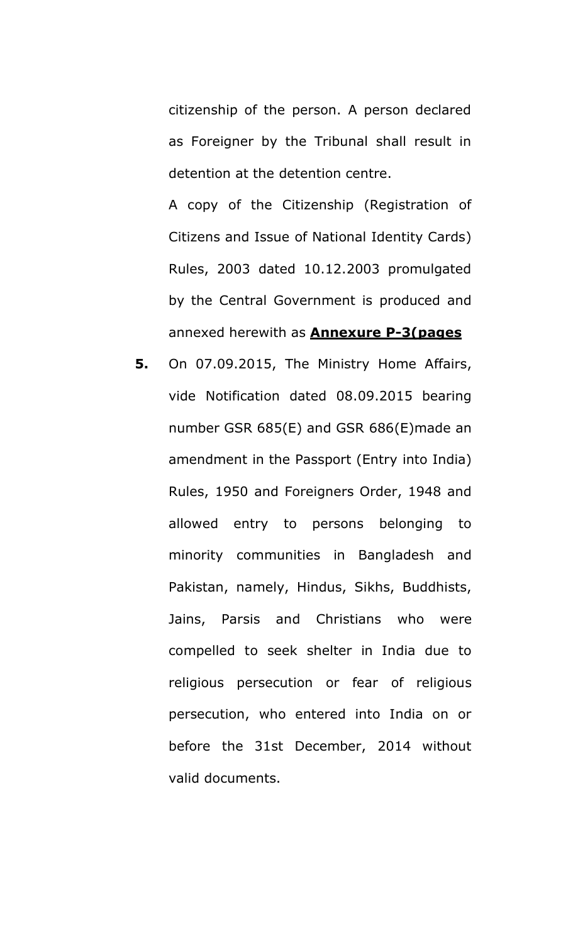citizenship of the person. A person declared as Foreigner by the Tribunal shall result in detention at the detention centre.

A copy of the Citizenship (Registration of Citizens and Issue of National Identity Cards) Rules, 2003 dated 10.12.2003 promulgated by the Central Government is produced and annexed herewith as **Annexure P-3(pages**

**5.** On 07.09.2015, The Ministry Home Affairs, vide Notification dated 08.09.2015 bearing number GSR 685(E) and GSR 686(E)made an amendment in the Passport (Entry into India) Rules, 1950 and Foreigners Order, 1948 and allowed entry to persons belonging to minority communities in Bangladesh and Pakistan, namely, Hindus, Sikhs, Buddhists, Jains, Parsis and Christians who were compelled to seek shelter in India due to religious persecution or fear of religious persecution, who entered into India on or before the 31st December, 2014 without valid documents.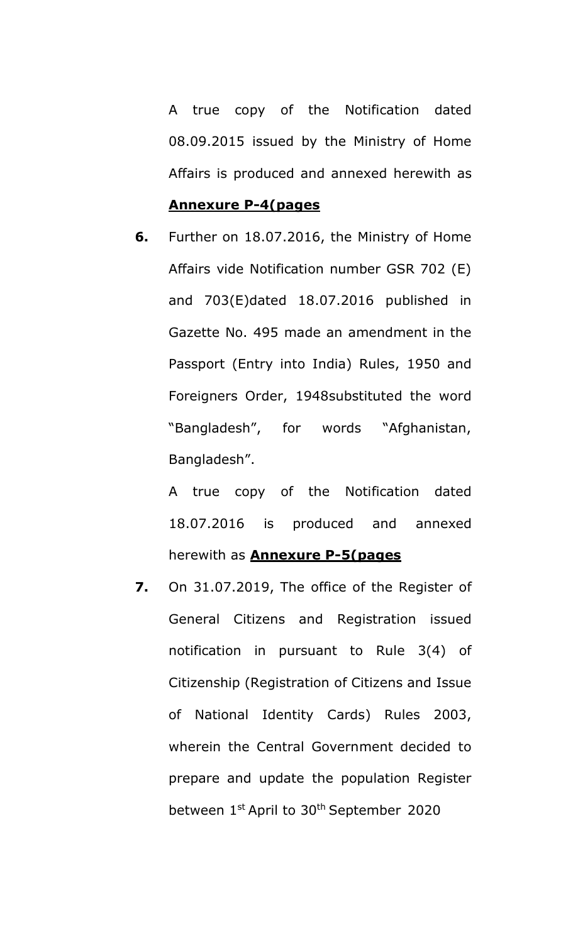A true copy of the Notification dated 08.09.2015 issued by the Ministry of Home Affairs is produced and annexed herewith as

#### **Annexure P-4(pages**

**6.** Further on 18.07.2016, the Ministry of Home Affairs vide Notification number GSR 702 (E) and 703(E)dated 18.07.2016 published in Gazette No. 495 made an amendment in the Passport (Entry into India) Rules, 1950 and Foreigners Order, 1948substituted the word "Bangladesh", for words "Afghanistan, Bangladesh".

A true copy of the Notification dated 18.07.2016 is produced and annexed herewith as **Annexure P-5(pages**

**7.** On 31.07.2019, The office of the Register of General Citizens and Registration issued notification in pursuant to Rule 3(4) of Citizenship (Registration of Citizens and Issue of National Identity Cards) Rules 2003, wherein the Central Government decided to prepare and update the population Register between 1<sup>st</sup> April to 30<sup>th</sup> September 2020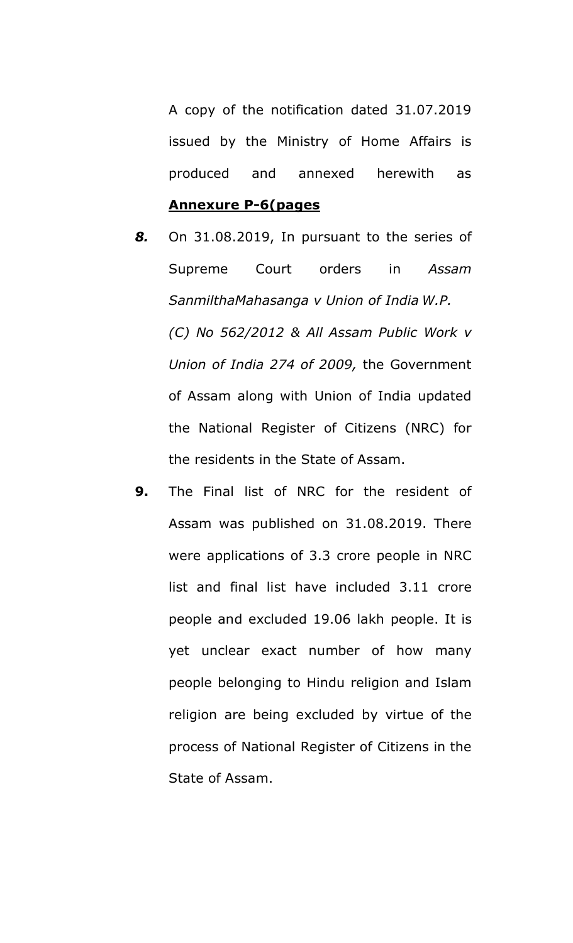A copy of the notification dated 31.07.2019 issued by the Ministry of Home Affairs is produced and annexed herewith as

#### **Annexure P-6(pages**

- *8.* On 31.08.2019, In pursuant to the series of Supreme Court orders in *Assam SanmilthaMahasanga v Union of India W.P. (C) No 562/2012 & All Assam Public Work v Union of India 274 of 2009,* the Government of Assam along with Union of India updated the National Register of Citizens (NRC) for the residents in the State of Assam.
- **9.** The Final list of NRC for the resident of Assam was published on 31.08.2019. There were applications of 3.3 crore people in NRC list and final list have included 3.11 crore people and excluded 19.06 lakh people. It is yet unclear exact number of how many people belonging to Hindu religion and Islam religion are being excluded by virtue of the process of National Register of Citizens in the State of Assam.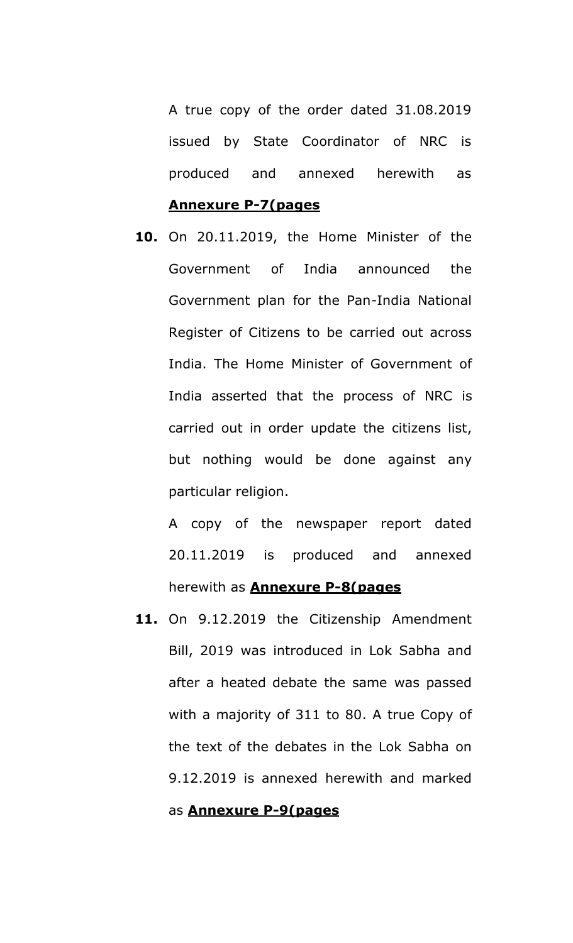A true copy of the order dated 31.08.2019 issued by State Coordinator of NRC is produced and annexed herewith as

#### **Annexure P-7(pages**

**10.** On 20.11.2019, the Home Minister of the Government of India announced the Government plan for the Pan-India National Register of Citizens to be carried out across India. The Home Minister of Government of India asserted that the process of NRC is carried out in order update the citizens list, but nothing would be done against any particular religion.

A copy of the newspaper report dated 20.11.2019 is produced and annexed herewith as **Annexure P-8(pages**

**11.** On 9.12.2019 the Citizenship Amendment Bill, 2019 was introduced in Lok Sabha and after a heated debate the same was passed with a majority of 311 to 80. A true Copy of the text of the debates in the Lok Sabha on 9.12.2019 is annexed herewith and marked

#### as **Annexure P-9(pages**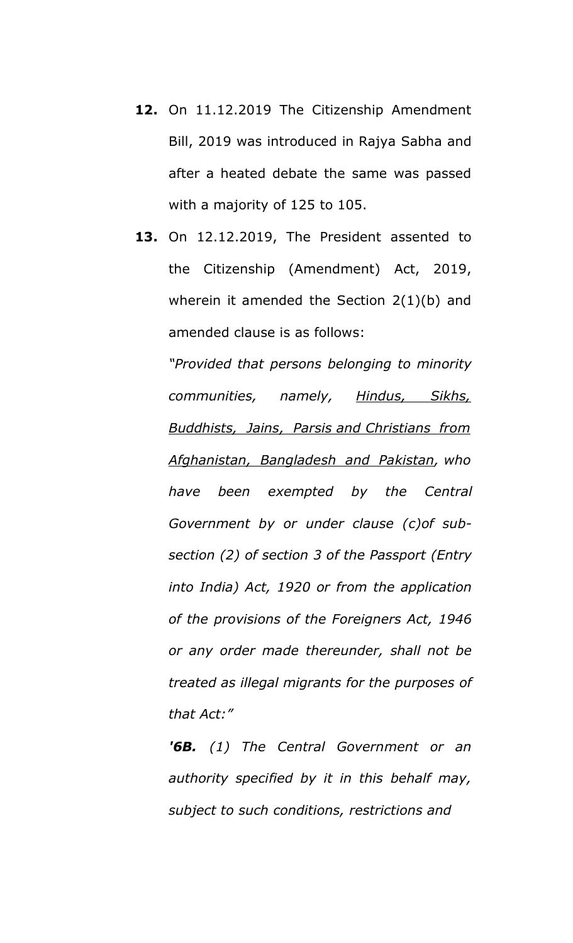- **12.** On 11.12.2019 The Citizenship Amendment Bill, 2019 was introduced in Rajya Sabha and after a heated debate the same was passed with a majority of 125 to 105.
- **13.** On 12.12.2019, The President assented to the Citizenship (Amendment) Act, 2019, wherein it amended the Section 2(1)(b) and amended clause is as follows:

*"Provided that persons belonging to minority communities, namely, Hindus, Sikhs, Buddhists, Jains, Parsis and Christians from Afghanistan, Bangladesh and Pakistan, who have been exempted by the Central Government by or under clause (c)of subsection (2) of section 3 of the Passport (Entry into India) Act, 1920 or from the application of the provisions of the Foreigners Act, 1946 or any order made thereunder, shall not be treated as illegal migrants for the purposes of that Act:"*

*'6B. (1) The Central Government or an authority specified by it in this behalf may, subject to such conditions, restrictions and*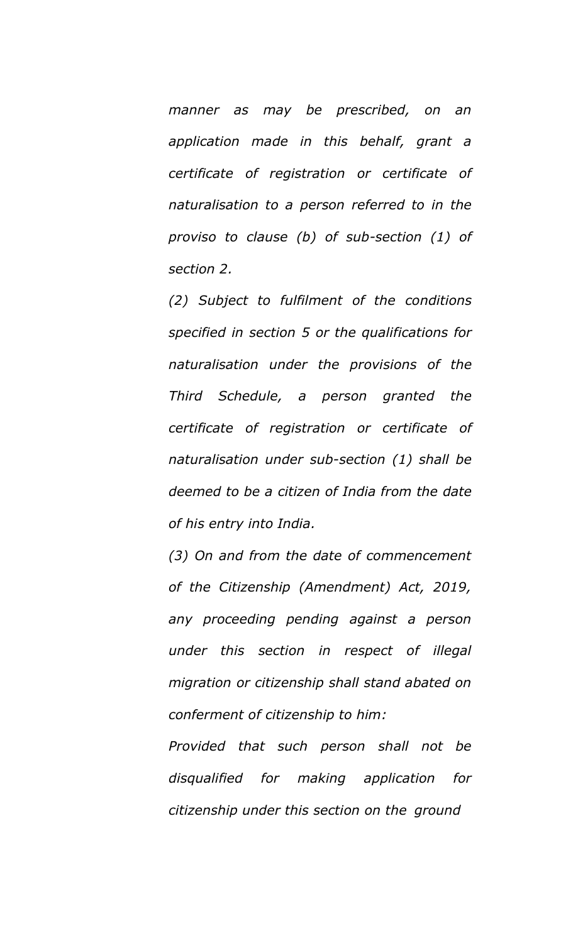*manner as may be prescribed, on an application made in this behalf, grant a certificate of registration or certificate of naturalisation to a person referred to in the proviso to clause (b) of sub-section (1) of section 2.*

*(2) Subject to fulfilment of the conditions specified in section 5 or the qualifications for naturalisation under the provisions of the Third Schedule, a person granted the certificate of registration or certificate of naturalisation under sub-section (1) shall be deemed to be a citizen of India from the date of his entry into India.*

*(3) On and from the date of commencement of the Citizenship (Amendment) Act, 2019, any proceeding pending against a person under this section in respect of illegal migration or citizenship shall stand abated on conferment of citizenship to him:*

*Provided that such person shall not be disqualified for making application for citizenship under this section on the ground*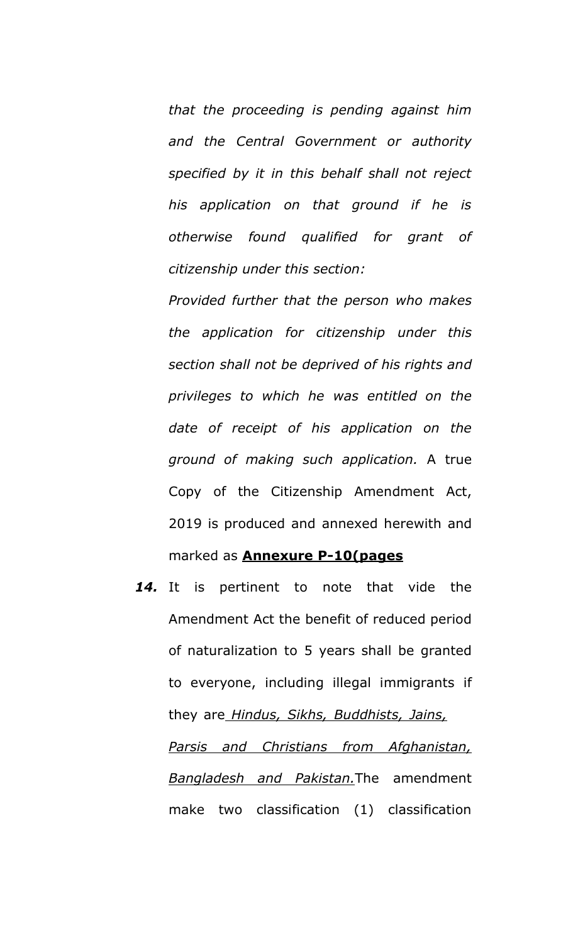*that the proceeding is pending against him and the Central Government or authority specified by it in this behalf shall not reject his application on that ground if he is otherwise found qualified for grant of citizenship under this section:*

*Provided further that the person who makes the application for citizenship under this section shall not be deprived of his rights and privileges to which he was entitled on the date of receipt of his application on the ground of making such application.* A true Copy of the Citizenship Amendment Act, 2019 is produced and annexed herewith and marked as **Annexure P-10(pages**

*14.* It is pertinent to note that vide the Amendment Act the benefit of reduced period of naturalization to 5 years shall be granted to everyone, including illegal immigrants if they are *Hindus, Sikhs, Buddhists, Jains, Parsis and Christians from Afghanistan, Bangladesh and Pakistan.*The amendment make two classification (1) classification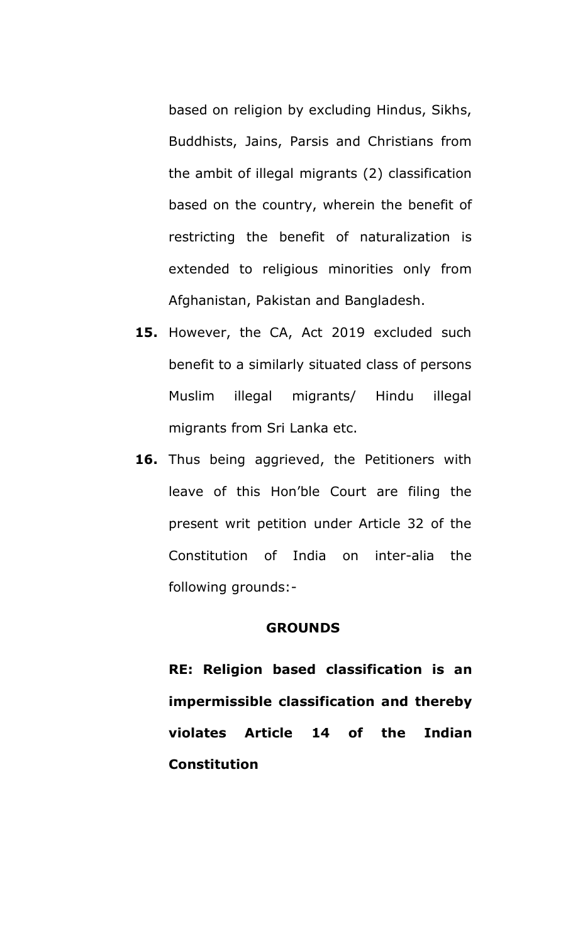based on religion by excluding Hindus, Sikhs, Buddhists, Jains, Parsis and Christians from the ambit of illegal migrants (2) classification based on the country, wherein the benefit of restricting the benefit of naturalization is extended to religious minorities only from Afghanistan, Pakistan and Bangladesh.

- **15.** However, the CA, Act 2019 excluded such benefit to a similarly situated class of persons Muslim illegal migrants/ Hindu illegal migrants from Sri Lanka etc.
- 16. Thus being aggrieved, the Petitioners with leave of this Hon'ble Court are filing the present writ petition under Article 32 of the Constitution of India on inter-alia the following grounds:-

#### **GROUNDS**

**RE: Religion based classification is an impermissible classification and thereby violates Article 14 of the Indian Constitution**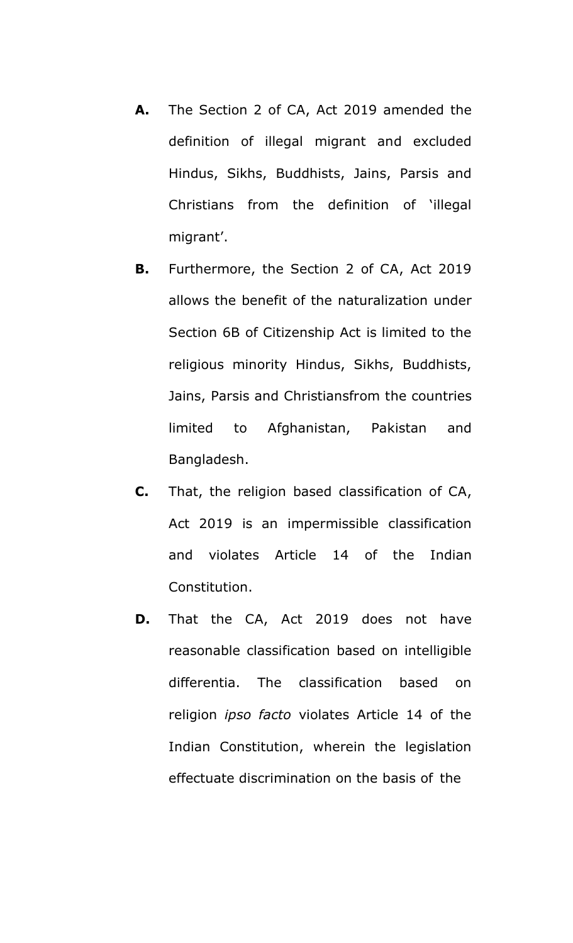- **A.** The Section 2 of CA, Act 2019 amended the definition of illegal migrant and excluded Hindus, Sikhs, Buddhists, Jains, Parsis and Christians from the definition of 'illegal migrant'.
- **B.** Furthermore, the Section 2 of CA, Act 2019 allows the benefit of the naturalization under Section 6B of Citizenship Act is limited to the religious minority Hindus, Sikhs, Buddhists, Jains, Parsis and Christiansfrom the countries limited to Afghanistan, Pakistan and Bangladesh.
- **C.** That, the religion based classification of CA, Act 2019 is an impermissible classification and violates Article 14 of the Indian Constitution.
- **D.** That the CA, Act 2019 does not have reasonable classification based on intelligible differentia. The classification based on religion *ipso facto* violates Article 14 of the Indian Constitution, wherein the legislation effectuate discrimination on the basis of the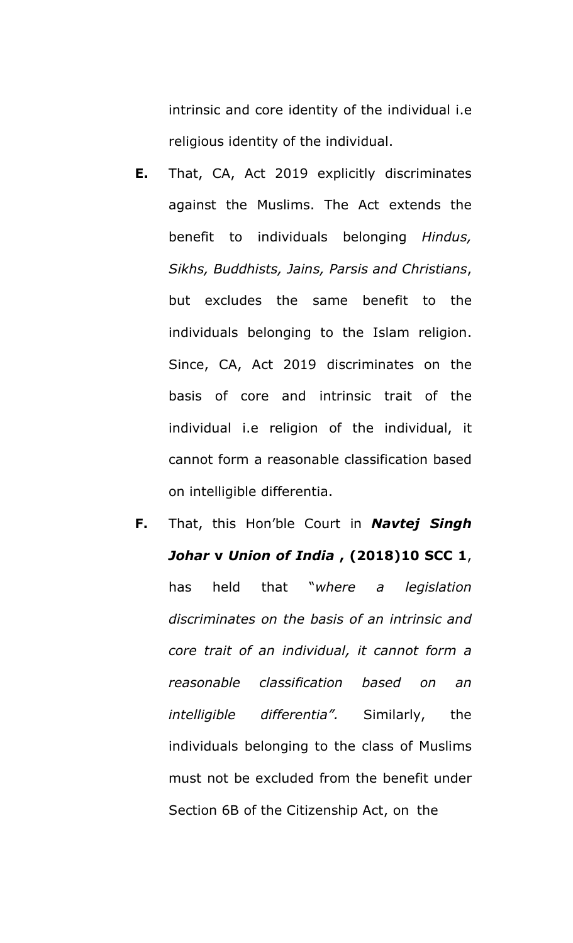intrinsic and core identity of the individual i.e religious identity of the individual.

- **E.** That, CA, Act 2019 explicitly discriminates against the Muslims. The Act extends the benefit to individuals belonging *Hindus, Sikhs, Buddhists, Jains, Parsis and Christians*, but excludes the same benefit to the individuals belonging to the Islam religion. Since, CA, Act 2019 discriminates on the basis of core and intrinsic trait of the individual i.e religion of the individual, it cannot form a reasonable classification based on intelligible differentia.
- **F.** That, this Hon'ble Court in *Navtej Singh Johar* **v** *Union of India* **, (2018)10 SCC 1**, has held that "*where a legislation discriminates on the basis of an intrinsic and core trait of an individual, it cannot form a reasonable classification based on an intelligible differentia".* Similarly, the individuals belonging to the class of Muslims must not be excluded from the benefit under Section 6B of the Citizenship Act, on the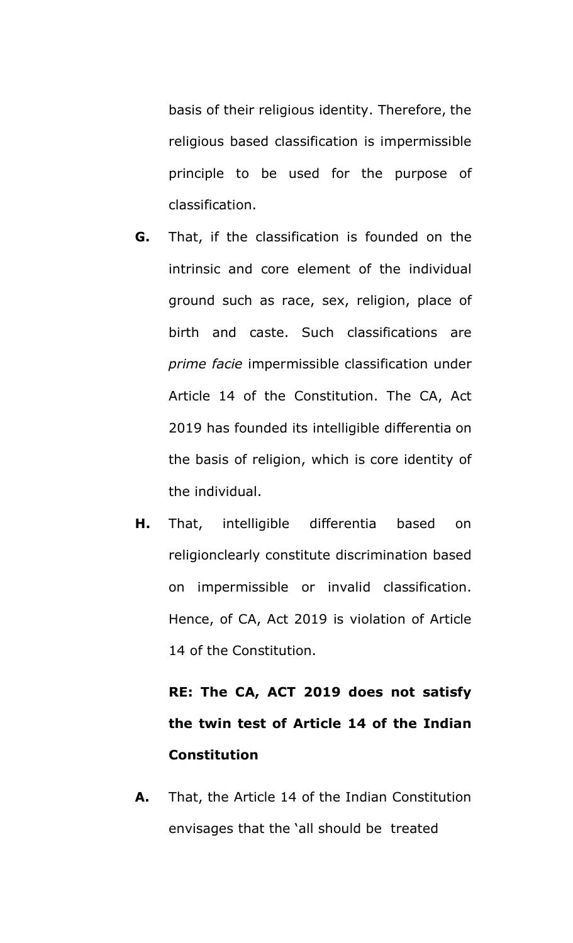basis of their religious identity. Therefore, the religious based classification is impermissible principle to be used for the purpose of classification.

- **G.** That, if the classification is founded on the intrinsic and core element of the individual ground such as race, sex, religion, place of birth and caste. Such classifications are *prime facie* impermissible classification under Article 14 of the Constitution. The CA, Act 2019 has founded its intelligible differentia on the basis of religion, which is core identity of the individual.
- **H.** That, intelligible differentia based on religionclearly constitute discrimination based on impermissible or invalid classification. Hence, of CA, Act 2019 is violation of Article 14 of the Constitution.

**RE: The CA, ACT 2019 does not satisfy the twin test of Article 14 of the Indian Constitution**

**A.** That, the Article 14 of the Indian Constitution envisages that the 'all should be treated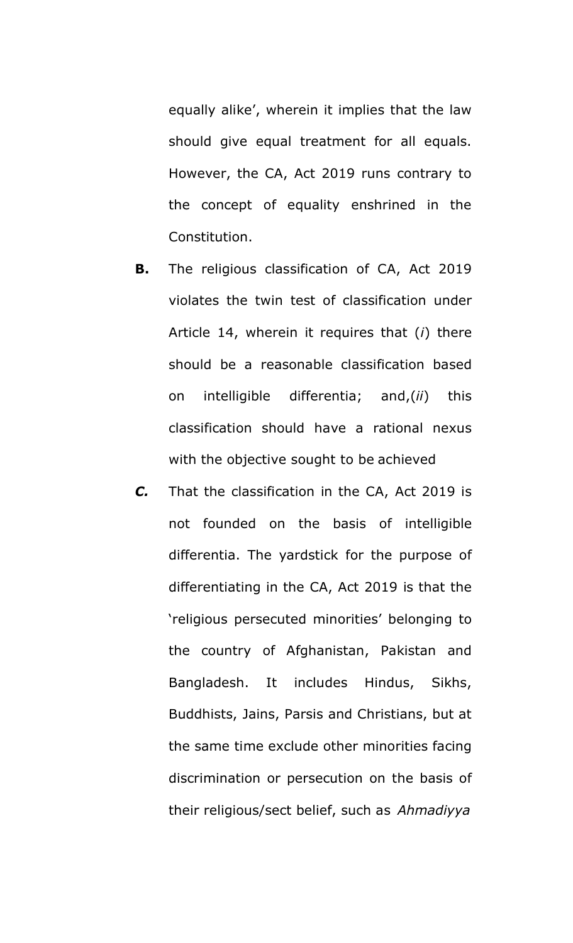equally alike', wherein it implies that the law should give equal treatment for all equals. However, the CA, Act 2019 runs contrary to the concept of equality enshrined in the Constitution.

- **B.** The religious classification of CA, Act 2019 violates the twin test of classification under Article 14, wherein it requires that (*i*) there should be a reasonable classification based on intelligible differentia; and,(*ii*) this classification should have a rational nexus with the objective sought to be achieved
- *C.* That the classification in the CA, Act 2019 is not founded on the basis of intelligible differentia. The yardstick for the purpose of differentiating in the CA, Act 2019 is that the 'religious persecuted minorities' belonging to the country of Afghanistan, Pakistan and Bangladesh. It includes Hindus, Sikhs, Buddhists, Jains, Parsis and Christians, but at the same time exclude other minorities facing discrimination or persecution on the basis of their religious/sect belief, such as *Ahmadiyya*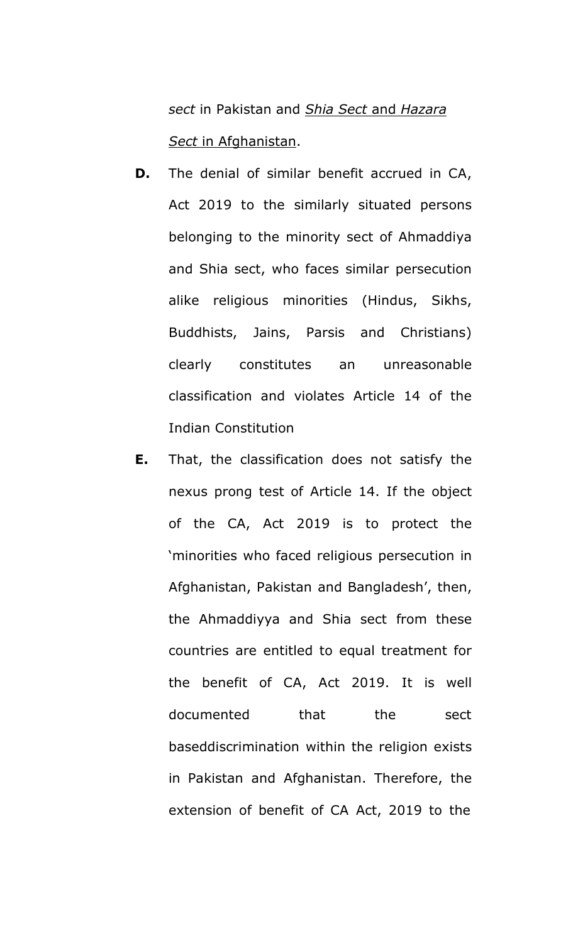*sect* in Pakistan and *Shia Sect* and *Hazara Sect* in Afghanistan.

- **D.** The denial of similar benefit accrued in CA, Act 2019 to the similarly situated persons belonging to the minority sect of Ahmaddiya and Shia sect, who faces similar persecution alike religious minorities (Hindus, Sikhs, Buddhists, Jains, Parsis and Christians) clearly constitutes an unreasonable classification and violates Article 14 of the Indian Constitution
- **E.** That, the classification does not satisfy the nexus prong test of Article 14. If the object of the CA, Act 2019 is to protect the 'minorities who faced religious persecution in Afghanistan, Pakistan and Bangladesh', then, the Ahmaddiyya and Shia sect from these countries are entitled to equal treatment for the benefit of CA, Act 2019. It is well documented that the sect baseddiscrimination within the religion exists in Pakistan and Afghanistan. Therefore, the extension of benefit of CA Act, 2019 to the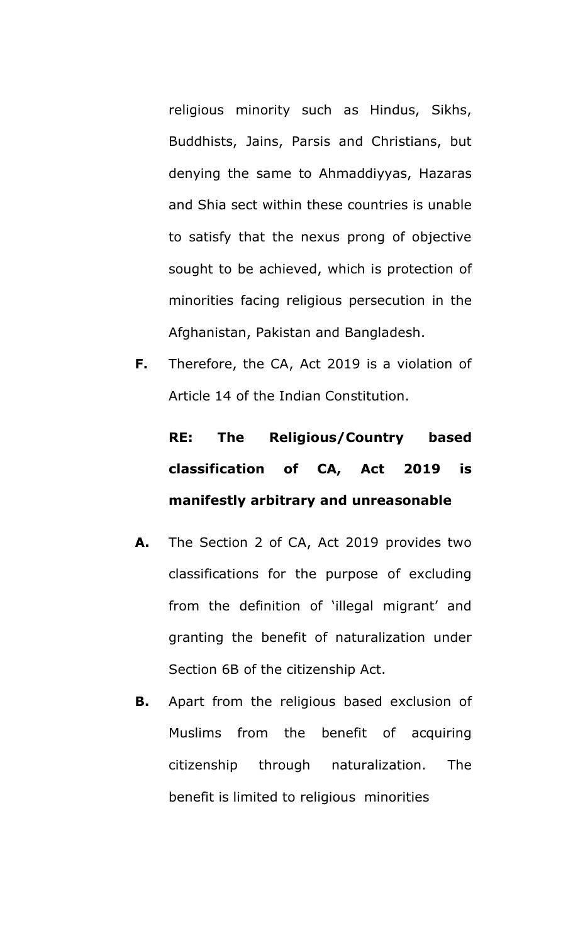religious minority such as Hindus, Sikhs, Buddhists, Jains, Parsis and Christians, but denying the same to Ahmaddiyyas, Hazaras and Shia sect within these countries is unable to satisfy that the nexus prong of objective sought to be achieved, which is protection of minorities facing religious persecution in the Afghanistan, Pakistan and Bangladesh.

**F.** Therefore, the CA, Act 2019 is a violation of Article 14 of the Indian Constitution.

# **RE: The Religious/Country based classification of CA, Act 2019 is manifestly arbitrary and unreasonable**

- **A.** The Section 2 of CA, Act 2019 provides two classifications for the purpose of excluding from the definition of 'illegal migrant' and granting the benefit of naturalization under Section 6B of the citizenship Act.
- **B.** Apart from the religious based exclusion of Muslims from the benefit of acquiring citizenship through naturalization. The benefit is limited to religious minorities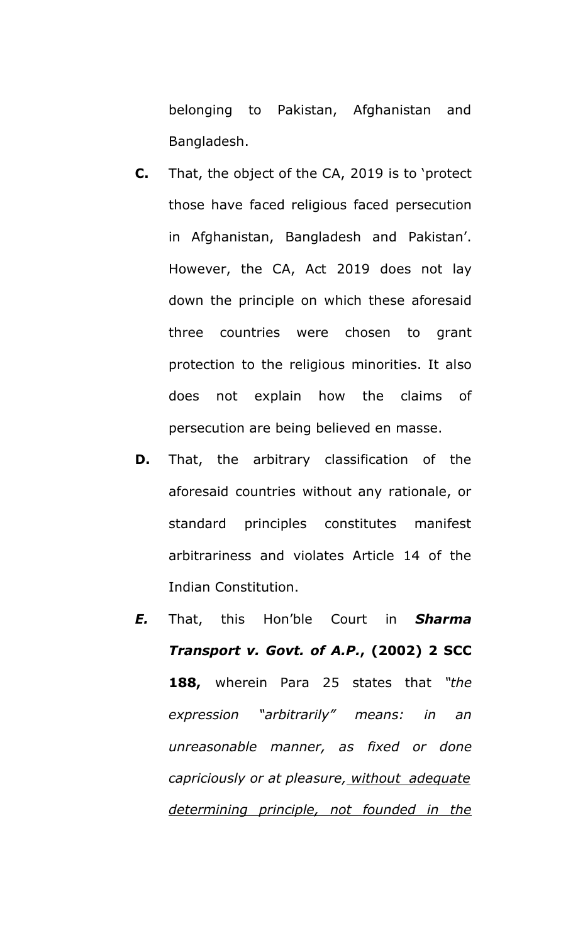belonging to Pakistan, Afghanistan and Bangladesh.

- **C.** That, the object of the CA, 2019 is to 'protect those have faced religious faced persecution in Afghanistan, Bangladesh and Pakistan'. However, the CA, Act 2019 does not lay down the principle on which these aforesaid three countries were chosen to grant protection to the religious minorities. It also does not explain how the claims of persecution are being believed en masse.
- **D.** That, the arbitrary classification of the aforesaid countries without any rationale, or standard principles constitutes manifest arbitrariness and violates Article 14 of the Indian Constitution.
- *E.* That, this Hon'ble Court in *Sharma Transport v. Govt. of A.P.***, (2002) 2 SCC 188,** wherein Para 25 states that *"the expression "arbitrarily" means: in an unreasonable manner, as fixed or done capriciously or at pleasure, without adequate determining principle, not founded in the*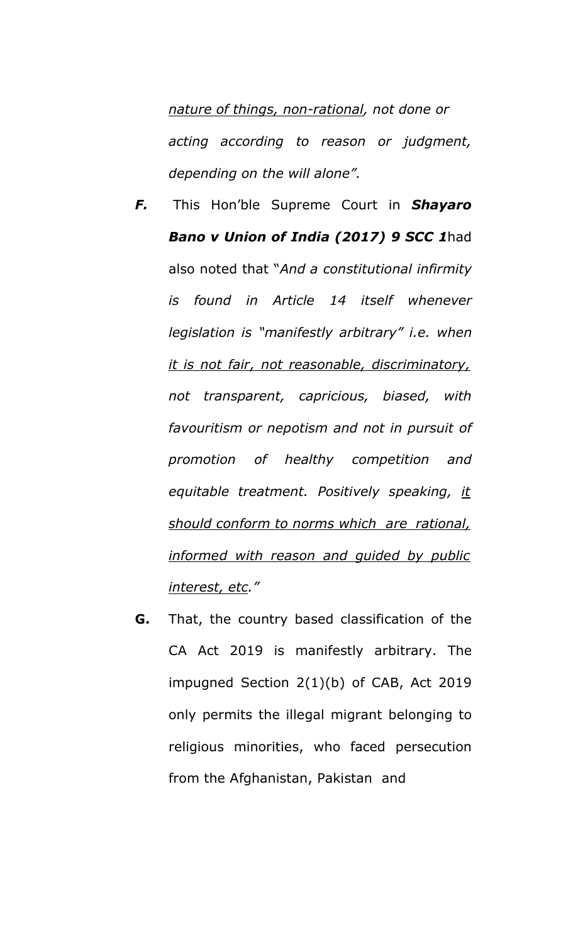*nature of things, non-rational, not done or acting according to reason or judgment, depending on the will alone".*

- *F.* This Hon'ble Supreme Court in *Shayaro Bano v Union of India (2017) 9 SCC 1*had also noted that "*And a constitutional infirmity is found in Article 14 itself whenever legislation is "manifestly arbitrary" i.e. when it is not fair, not reasonable, discriminatory, not transparent, capricious, biased, with favouritism or nepotism and not in pursuit of promotion of healthy competition and equitable treatment. Positively speaking, it should conform to norms which are rational, informed with reason and guided by public interest, etc."*
- **G.** That, the country based classification of the CA Act 2019 is manifestly arbitrary. The impugned Section 2(1)(b) of CAB, Act 2019 only permits the illegal migrant belonging to religious minorities, who faced persecution from the Afghanistan, Pakistan and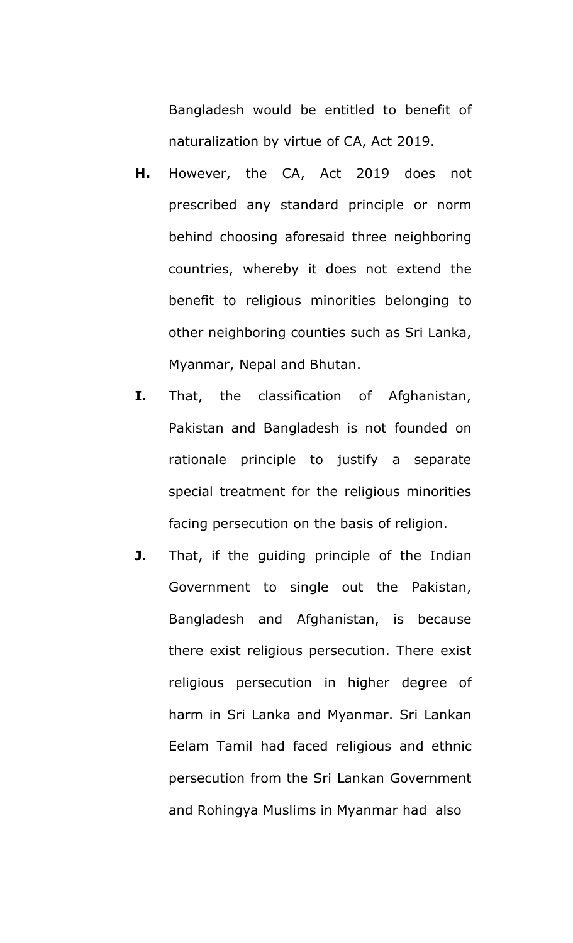Bangladesh would be entitled to benefit of naturalization by virtue of CA, Act 2019.

- **H.** However, the CA, Act 2019 does not prescribed any standard principle or norm behind choosing aforesaid three neighboring countries, whereby it does not extend the benefit to religious minorities belonging to other neighboring counties such as Sri Lanka, Myanmar, Nepal and Bhutan.
- **I.** That, the classification of Afghanistan, Pakistan and Bangladesh is not founded on rationale principle to justify a separate special treatment for the religious minorities facing persecution on the basis of religion.
- **J.** That, if the quiding principle of the Indian Government to single out the Pakistan, Bangladesh and Afghanistan, is because there exist religious persecution. There exist religious persecution in higher degree of harm in Sri Lanka and Myanmar. Sri Lankan Eelam Tamil had faced religious and ethnic persecution from the Sri Lankan Government and Rohingya Muslims in Myanmar had also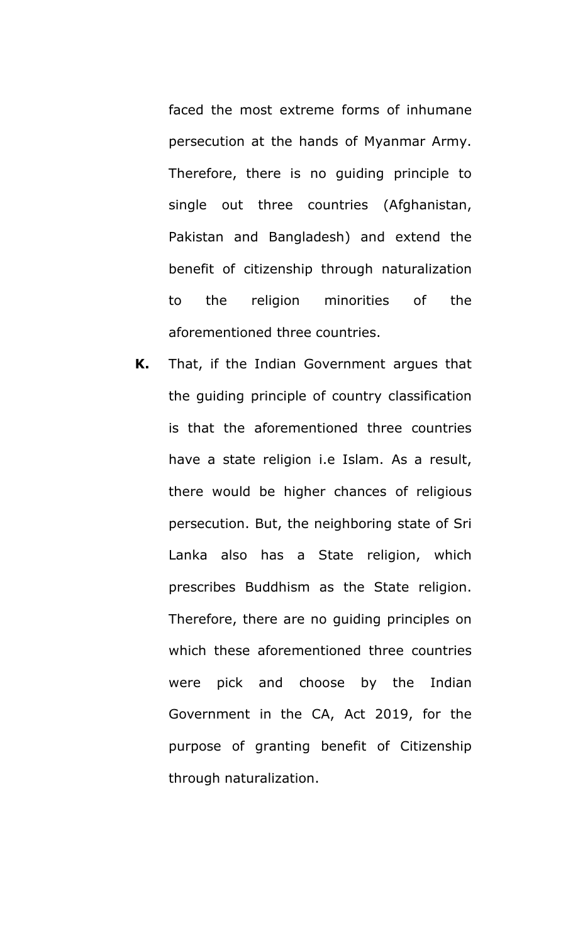faced the most extreme forms of inhumane persecution at the hands of Myanmar Army. Therefore, there is no guiding principle to single out three countries (Afghanistan, Pakistan and Bangladesh) and extend the benefit of citizenship through naturalization to the religion minorities of the aforementioned three countries.

**K.** That, if the Indian Government argues that the guiding principle of country classification is that the aforementioned three countries have a state religion i.e Islam. As a result, there would be higher chances of religious persecution. But, the neighboring state of Sri Lanka also has a State religion, which prescribes Buddhism as the State religion. Therefore, there are no guiding principles on which these aforementioned three countries were pick and choose by the Indian Government in the CA, Act 2019, for the purpose of granting benefit of Citizenship through naturalization.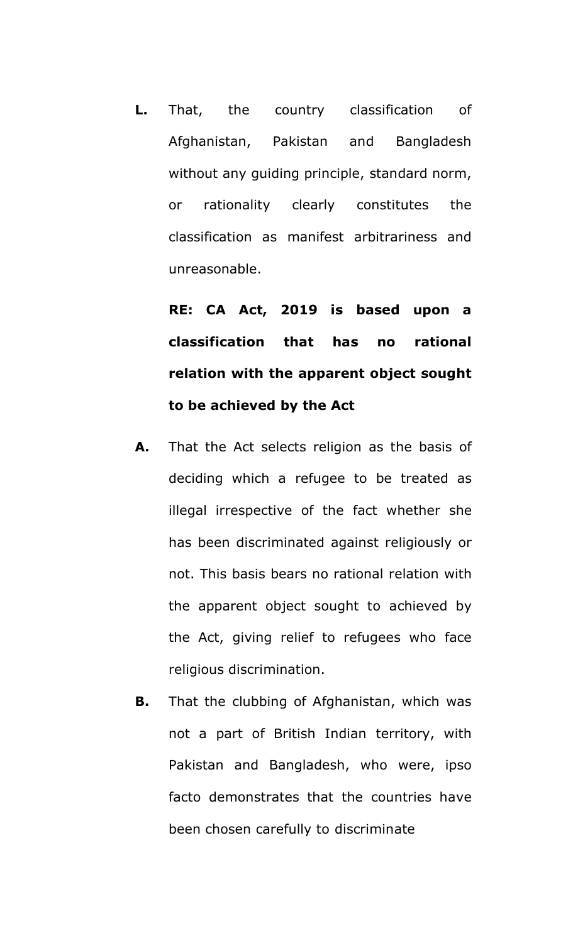**L.** That, the country classification of Afghanistan, Pakistan and Bangladesh without any guiding principle, standard norm, or rationality clearly constitutes the classification as manifest arbitrariness and unreasonable.

**RE: CA Act, 2019 is based upon a classification that has no rational relation with the apparent object sought to be achieved by the Act**

- **A.** That the Act selects religion as the basis of deciding which a refugee to be treated as illegal irrespective of the fact whether she has been discriminated against religiously or not. This basis bears no rational relation with the apparent object sought to achieved by the Act, giving relief to refugees who face religious discrimination.
- **B.** That the clubbing of Afghanistan, which was not a part of British Indian territory, with Pakistan and Bangladesh, who were, ipso facto demonstrates that the countries have been chosen carefully to discriminate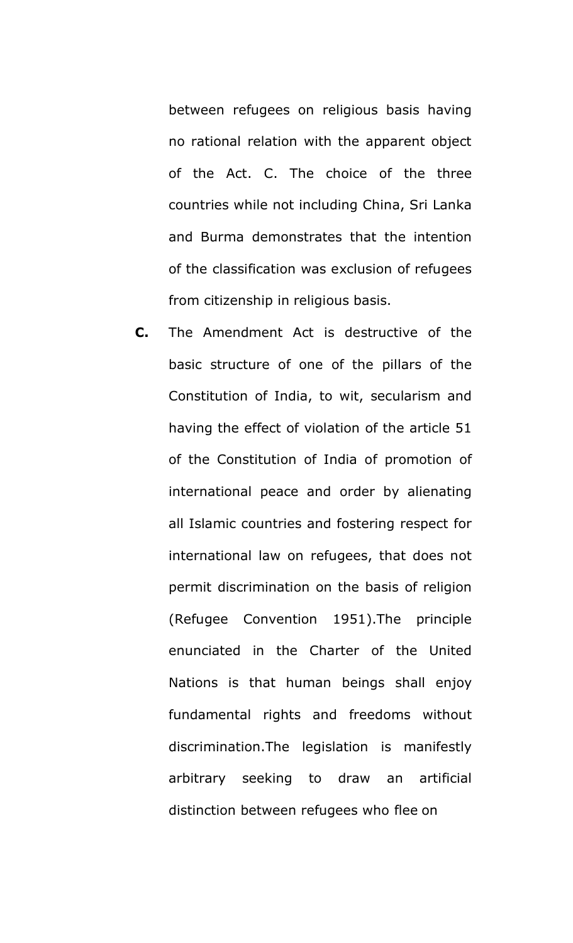between refugees on religious basis having no rational relation with the apparent object of the Act. C. The choice of the three countries while not including China, Sri Lanka and Burma demonstrates that the intention of the classification was exclusion of refugees from citizenship in religious basis.

**C.** The Amendment Act is destructive of the basic structure of one of the pillars of the Constitution of India, to wit, secularism and having the effect of violation of the article 51 of the Constitution of India of promotion of international peace and order by alienating all Islamic countries and fostering respect for international law on refugees, that does not permit discrimination on the basis of religion (Refugee Convention 1951).The principle enunciated in the Charter of the United Nations is that human beings shall enjoy fundamental rights and freedoms without discrimination.The legislation is manifestly arbitrary seeking to draw an artificial distinction between refugees who flee on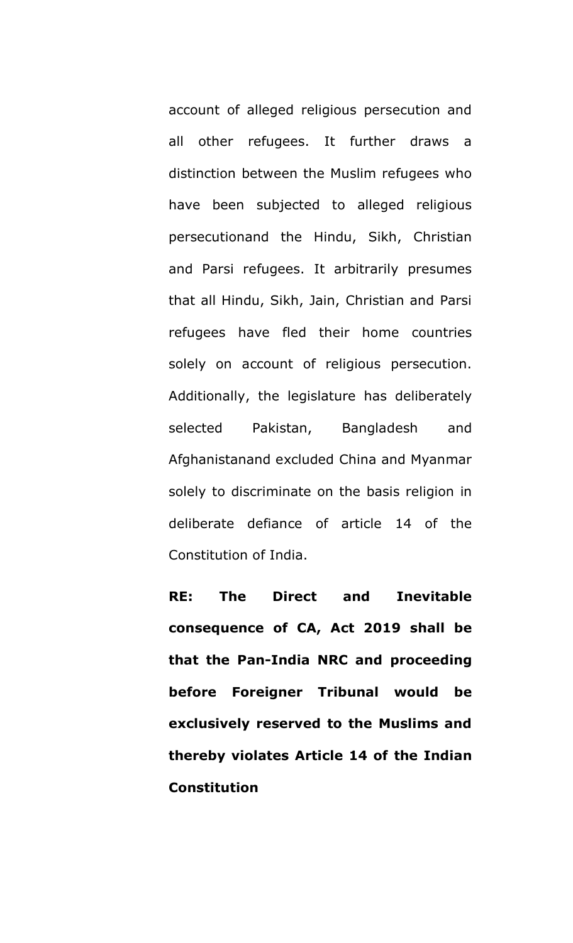account of alleged religious persecution and all other refugees. It further draws a distinction between the Muslim refugees who have been subjected to alleged religious persecutionand the Hindu, Sikh, Christian and Parsi refugees. It arbitrarily presumes that all Hindu, Sikh, Jain, Christian and Parsi refugees have fled their home countries solely on account of religious persecution. Additionally, the legislature has deliberately selected Pakistan, Bangladesh and Afghanistanand excluded China and Myanmar solely to discriminate on the basis religion in deliberate defiance of article 14 of the Constitution of India.

**RE: The Direct and Inevitable consequence of CA, Act 2019 shall be that the Pan-India NRC and proceeding before Foreigner Tribunal would be exclusively reserved to the Muslims and thereby violates Article 14 of the Indian Constitution**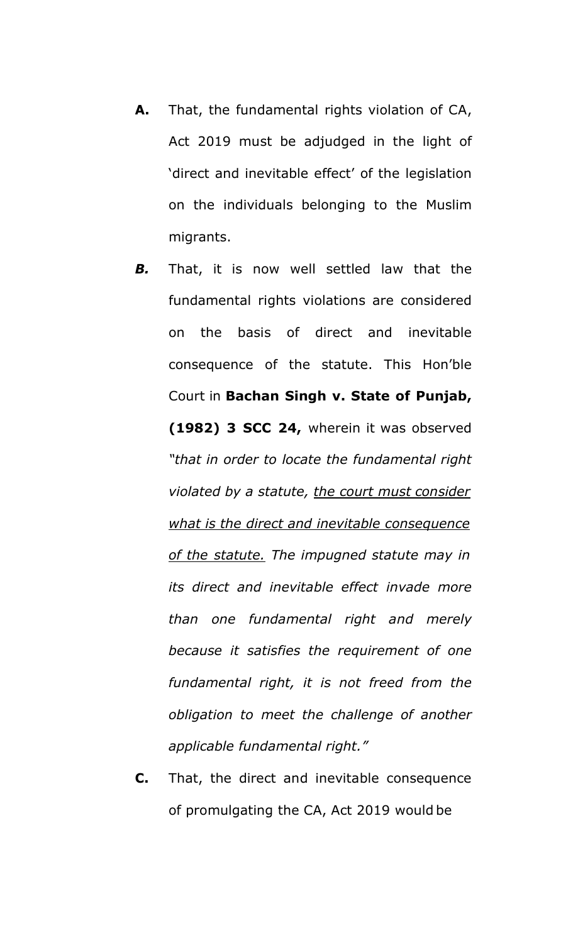- **A.** That, the fundamental rights violation of CA, Act 2019 must be adjudged in the light of 'direct and inevitable effect' of the legislation on the individuals belonging to the Muslim migrants.
- *B.* That, it is now well settled law that the fundamental rights violations are considered on the basis of direct and inevitable consequence of the statute. This Hon'ble Court in **Bachan Singh v. State of Punjab, (1982) 3 SCC 24,** wherein it was observed *"that in order to locate the fundamental right violated by a statute, the court must consider what is the direct and inevitable consequence of the statute. The impugned statute may in its direct and inevitable effect invade more than one fundamental right and merely because it satisfies the requirement of one fundamental right, it is not freed from the obligation to meet the challenge of another applicable fundamental right."*
- **C.** That, the direct and inevitable consequence of promulgating the CA, Act 2019 would be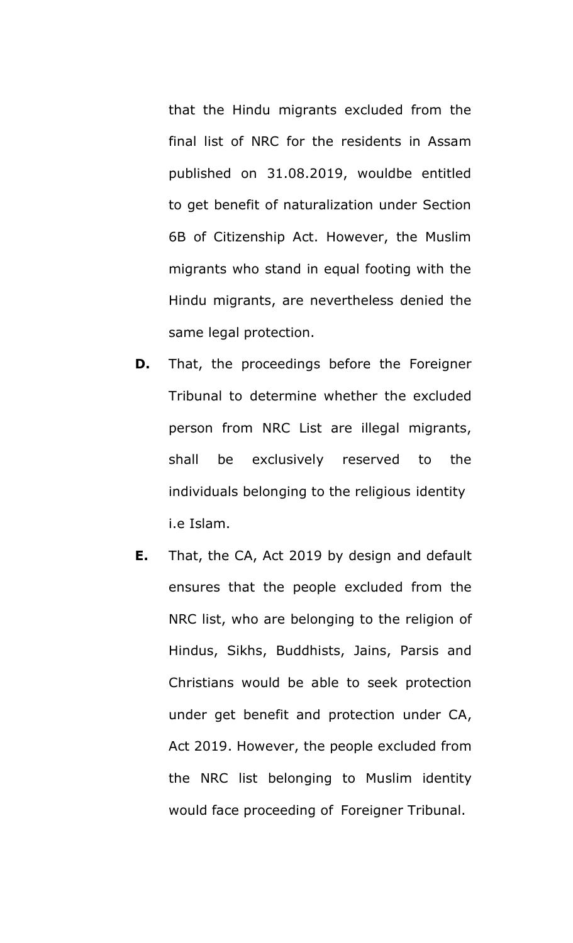that the Hindu migrants excluded from the final list of NRC for the residents in Assam published on 31.08.2019, wouldbe entitled to get benefit of naturalization under Section 6B of Citizenship Act. However, the Muslim migrants who stand in equal footing with the Hindu migrants, are nevertheless denied the same legal protection.

- **D.** That, the proceedings before the Foreigner Tribunal to determine whether the excluded person from NRC List are illegal migrants, shall be exclusively reserved to the individuals belonging to the religious identity i.e Islam.
- **E.** That, the CA, Act 2019 by design and default ensures that the people excluded from the NRC list, who are belonging to the religion of Hindus, Sikhs, Buddhists, Jains, Parsis and Christians would be able to seek protection under get benefit and protection under CA, Act 2019. However, the people excluded from the NRC list belonging to Muslim identity would face proceeding of Foreigner Tribunal.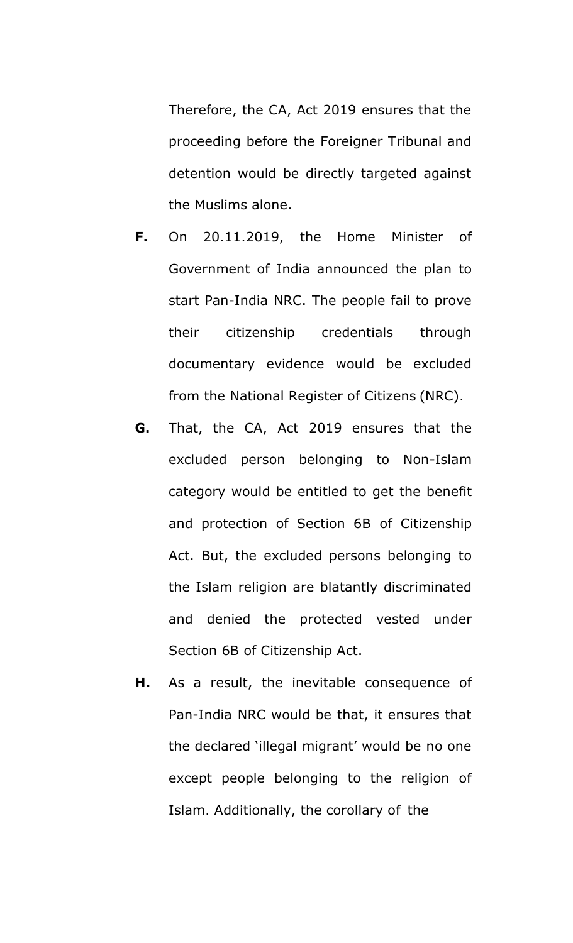Therefore, the CA, Act 2019 ensures that the proceeding before the Foreigner Tribunal and detention would be directly targeted against the Muslims alone.

- **F.** On 20.11.2019, the Home Minister of Government of India announced the plan to start Pan-India NRC. The people fail to prove their citizenship credentials through documentary evidence would be excluded from the National Register of Citizens (NRC).
- **G.** That, the CA, Act 2019 ensures that the excluded person belonging to Non-Islam category would be entitled to get the benefit and protection of Section 6B of Citizenship Act. But, the excluded persons belonging to the Islam religion are blatantly discriminated and denied the protected vested under Section 6B of Citizenship Act.
- **H.** As a result, the inevitable consequence of Pan-India NRC would be that, it ensures that the declared 'illegal migrant' would be no one except people belonging to the religion of Islam. Additionally, the corollary of the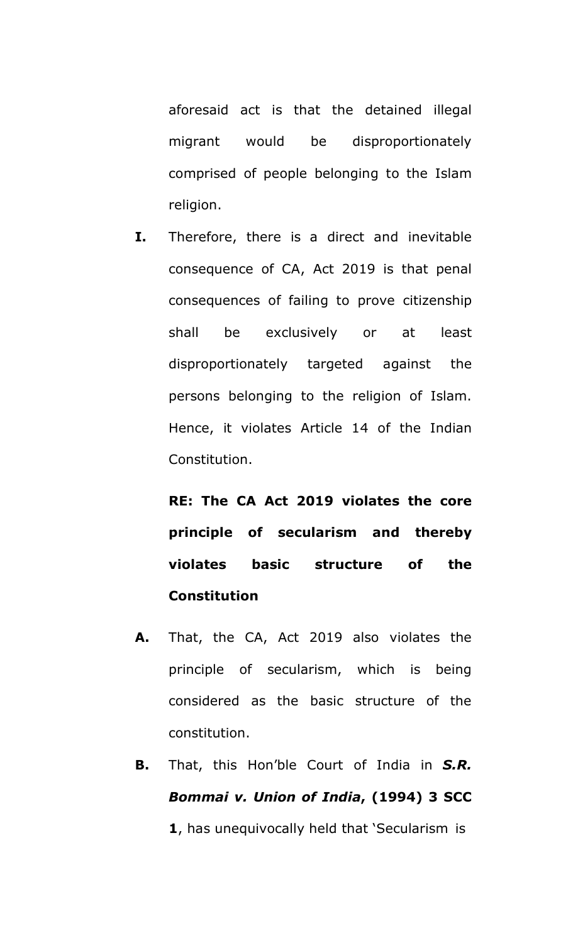aforesaid act is that the detained illegal migrant would be disproportionately comprised of people belonging to the Islam religion.

**I.** Therefore, there is a direct and inevitable consequence of CA, Act 2019 is that penal consequences of failing to prove citizenship shall be exclusively or at least disproportionately targeted against the persons belonging to the religion of Islam. Hence, it violates Article 14 of the Indian Constitution.

**RE: The CA Act 2019 violates the core principle of secularism and thereby violates basic structure of the Constitution**

- **A.** That, the CA, Act 2019 also violates the principle of secularism, which is being considered as the basic structure of the constitution.
- **B.** That, this Hon'ble Court of India in *S.R. Bommai v. Union of India***, (1994) 3 SCC 1**, has unequivocally held that 'Secularism is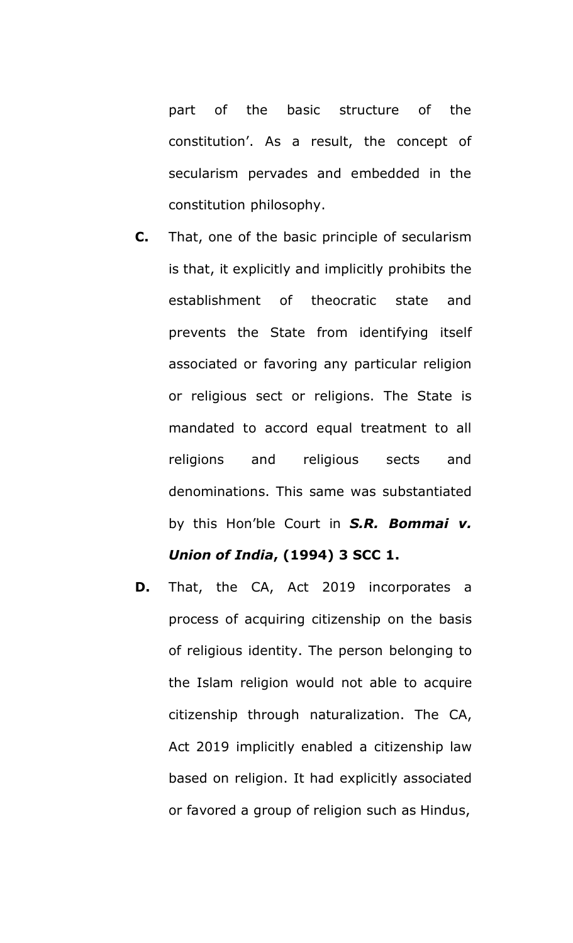part of the basic structure of the constitution'. As a result, the concept of secularism pervades and embedded in the constitution philosophy.

- **C.** That, one of the basic principle of secularism is that, it explicitly and implicitly prohibits the establishment of theocratic state and prevents the State from identifying itself associated or favoring any particular religion or religious sect or religions. The State is mandated to accord equal treatment to all religions and religious sects and denominations. This same was substantiated by this Hon'ble Court in *S.R. Bommai v. Union of India***, (1994) 3 SCC 1.**
- **D.** That, the CA, Act 2019 incorporates a process of acquiring citizenship on the basis of religious identity. The person belonging to the Islam religion would not able to acquire citizenship through naturalization. The CA, Act 2019 implicitly enabled a citizenship law based on religion. It had explicitly associated or favored a group of religion such as Hindus,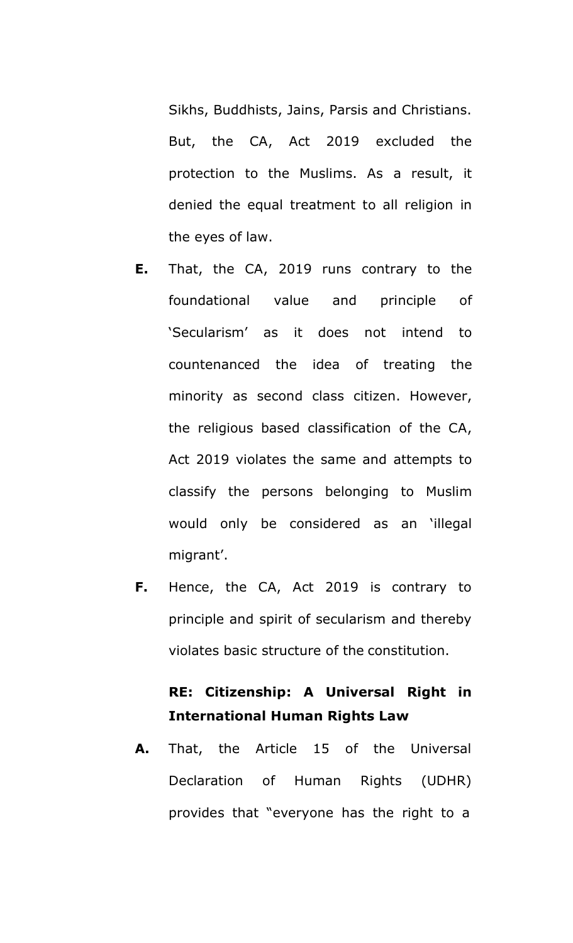Sikhs, Buddhists, Jains, Parsis and Christians. But, the CA, Act 2019 excluded the protection to the Muslims. As a result, it denied the equal treatment to all religion in the eyes of law.

- **E.** That, the CA, 2019 runs contrary to the foundational value and principle of 'Secularism' as it does not intend to countenanced the idea of treating the minority as second class citizen. However, the religious based classification of the CA, Act 2019 violates the same and attempts to classify the persons belonging to Muslim would only be considered as an 'illegal migrant'.
- **F.** Hence, the CA, Act 2019 is contrary to principle and spirit of secularism and thereby violates basic structure of the constitution.

# **RE: Citizenship: A Universal Right in International Human Rights Law**

**A.** That, the Article 15 of the Universal Declaration of Human Rights (UDHR) provides that "everyone has the right to a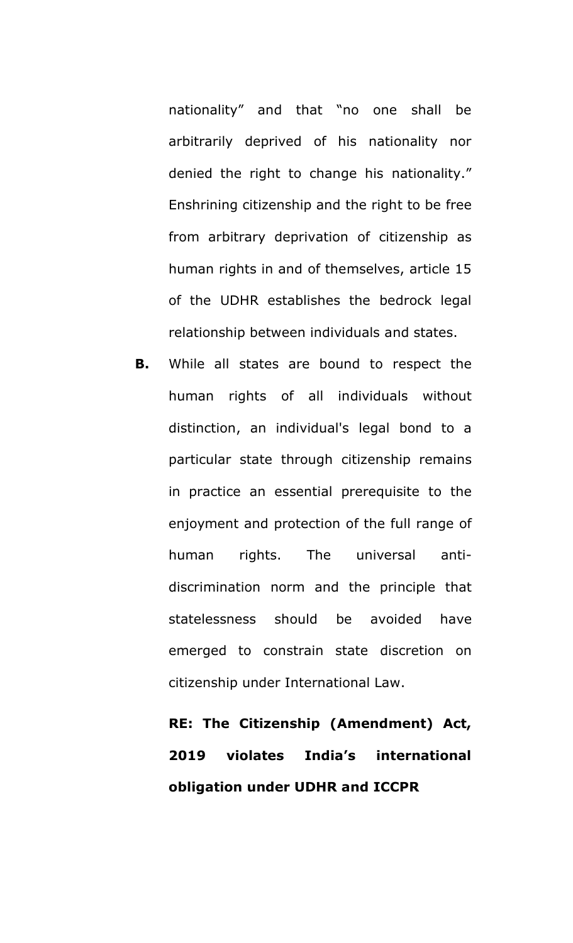nationality" and that "no one shall be arbitrarily deprived of his nationality nor denied the right to change his nationality." Enshrining citizenship and the right to be free from arbitrary deprivation of citizenship as human rights in and of themselves, article 15 of the UDHR establishes the bedrock legal relationship between individuals and states.

**B.** While all states are bound to respect the human rights of all individuals without distinction, an individual's legal bond to a particular state through citizenship remains in practice an essential prerequisite to the enjoyment and protection of the full range of human rights. The universal antidiscrimination norm and the principle that statelessness should be avoided have emerged to constrain state discretion on citizenship under International Law.

**RE: The Citizenship (Amendment) Act, 2019 violates India's international obligation under UDHR and ICCPR**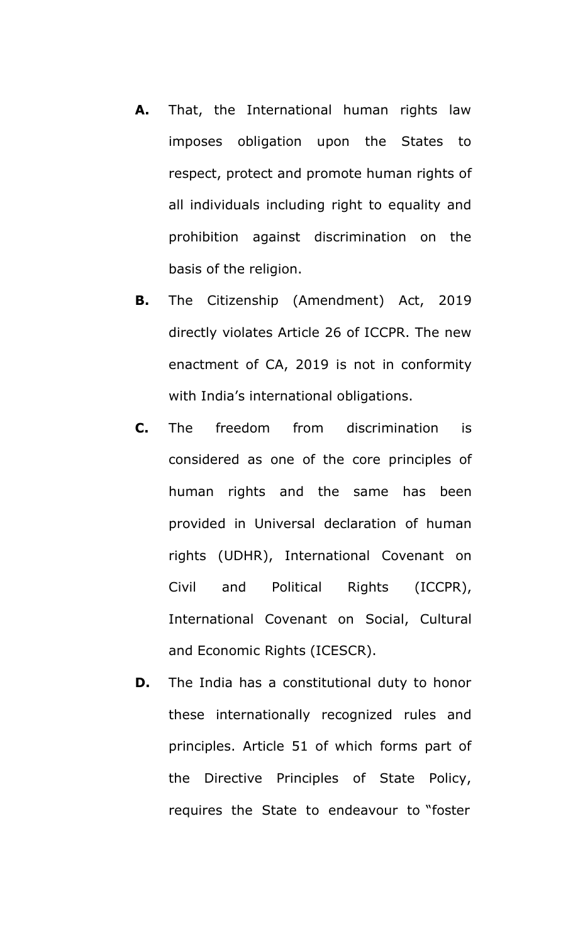- **A.** That, the International human rights law imposes obligation upon the States to respect, protect and promote human rights of all individuals including right to equality and prohibition against discrimination on the basis of the religion.
- **B.** The Citizenship (Amendment) Act, 2019 directly violates Article 26 of ICCPR. The new enactment of CA, 2019 is not in conformity with India's international obligations.
- **C.** The freedom from discrimination is considered as one of the core principles of human rights and the same has been provided in Universal declaration of human rights (UDHR), International Covenant on Civil and Political Rights (ICCPR), International Covenant on Social, Cultural and Economic Rights (ICESCR).
- **D.** The India has a constitutional duty to honor these internationally recognized rules and principles. Article 51 of which forms part of the Directive Principles of State Policy, requires the State to endeavour to "foster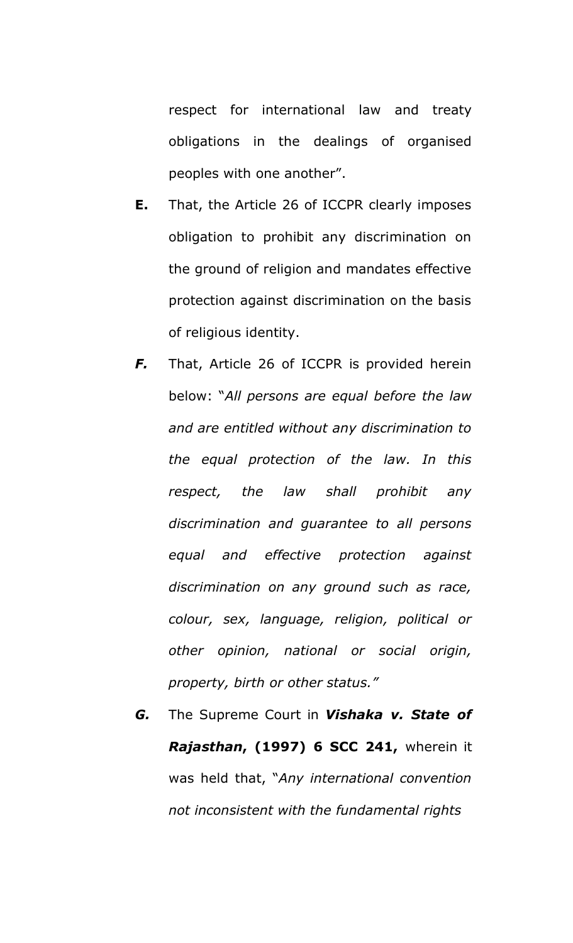respect for international law and treaty obligations in the dealings of organised peoples with one another".

- **E.** That, the Article 26 of ICCPR clearly imposes obligation to prohibit any discrimination on the ground of religion and mandates effective protection against discrimination on the basis of religious identity.
- *F.* That, Article 26 of ICCPR is provided herein below: "*All persons are equal before the law and are entitled without any discrimination to the equal protection of the law. In this respect, the law shall prohibit any discrimination and guarantee to all persons equal and effective protection against discrimination on any ground such as race, colour, sex, language, religion, political or other opinion, national or social origin, property, birth or other status."*
- *G.* The Supreme Court in *Vishaka v. State of Rajasthan***, (1997) 6 SCC 241,** wherein it was held that, "*Any international convention not inconsistent with the fundamental rights*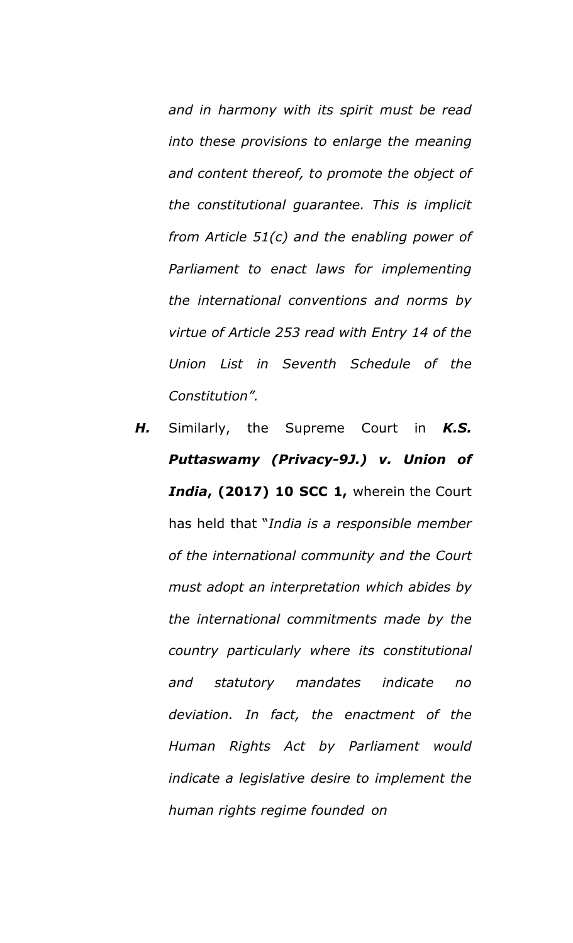*and in harmony with its spirit must be read into these provisions to enlarge the meaning and content thereof, to promote the object of the constitutional guarantee. This is implicit from Article 51(c) and the enabling power of Parliament to enact laws for implementing the international conventions and norms by virtue of Article 253 read with Entry 14 of the Union List in Seventh Schedule of the Constitution".*

*H.* Similarly, the Supreme Court in *K.S. Puttaswamy (Privacy-9J.) v. Union of India***, (2017) 10 SCC 1,** wherein the Court has held that "*India is a responsible member of the international community and the Court must adopt an interpretation which abides by the international commitments made by the country particularly where its constitutional and statutory mandates indicate no deviation. In fact, the enactment of the Human Rights Act by Parliament would indicate a legislative desire to implement the human rights regime founded on*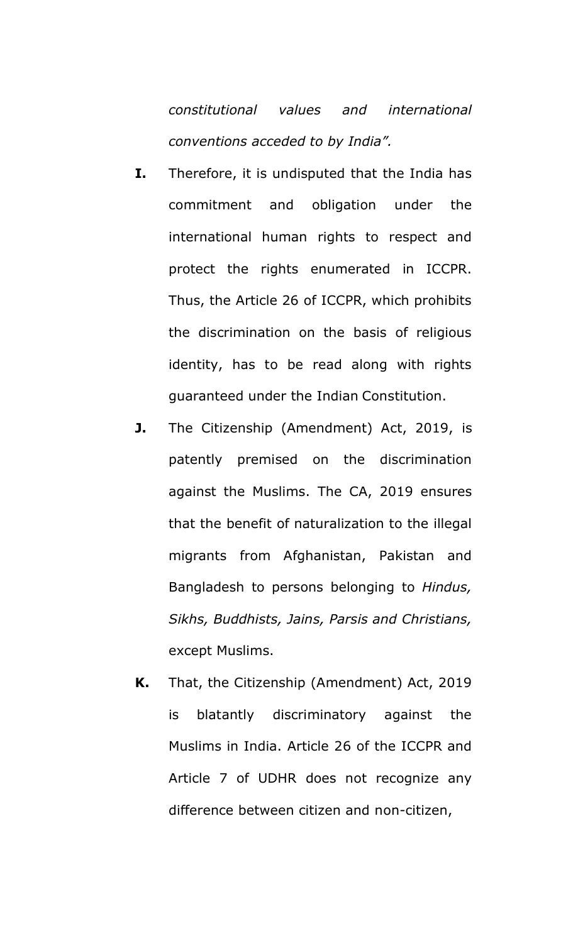*constitutional values and international conventions acceded to by India".*

- **I.** Therefore, it is undisputed that the India has commitment and obligation under the international human rights to respect and protect the rights enumerated in ICCPR. Thus, the Article 26 of ICCPR, which prohibits the discrimination on the basis of religious identity, has to be read along with rights guaranteed under the Indian Constitution.
- **J.** The Citizenship (Amendment) Act, 2019, is patently premised on the discrimination against the Muslims. The CA, 2019 ensures that the benefit of naturalization to the illegal migrants from Afghanistan, Pakistan and Bangladesh to persons belonging to *Hindus, Sikhs, Buddhists, Jains, Parsis and Christians,*  except Muslims.
- **K.** That, the Citizenship (Amendment) Act, 2019 is blatantly discriminatory against the Muslims in India. Article 26 of the ICCPR and Article 7 of UDHR does not recognize any difference between citizen and non-citizen,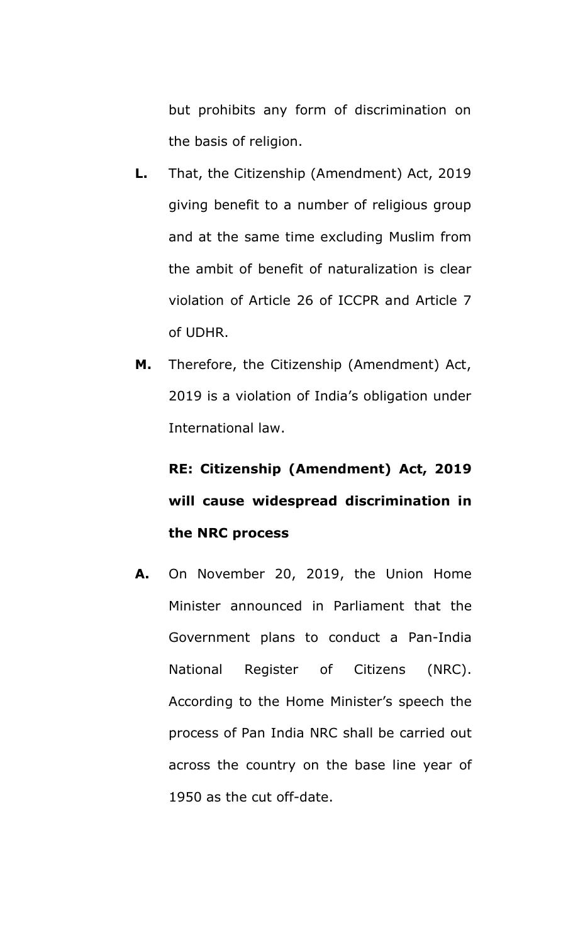but prohibits any form of discrimination on the basis of religion.

- **L.** That, the Citizenship (Amendment) Act, 2019 giving benefit to a number of religious group and at the same time excluding Muslim from the ambit of benefit of naturalization is clear violation of Article 26 of ICCPR and Article 7 of UDHR.
- **M.** Therefore, the Citizenship (Amendment) Act, 2019 is a violation of India's obligation under International law.

**RE: Citizenship (Amendment) Act, 2019 will cause widespread discrimination in the NRC process**

**A.** On November 20, 2019, the Union Home Minister announced in Parliament that the Government plans to conduct a Pan-India National Register of Citizens (NRC). According to the Home Minister's speech the process of Pan India NRC shall be carried out across the country on the base line year of 1950 as the cut off-date.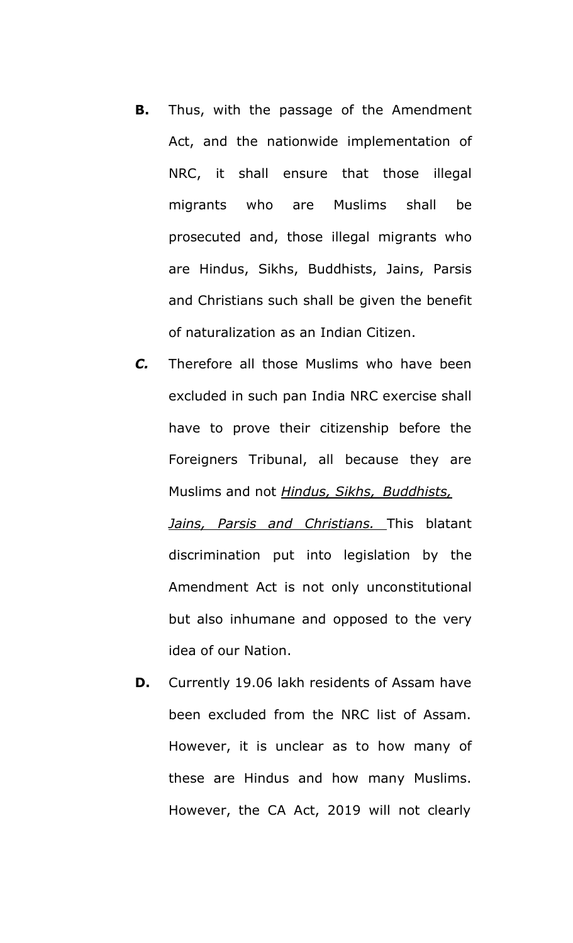- **B.** Thus, with the passage of the Amendment Act, and the nationwide implementation of NRC, it shall ensure that those illegal migrants who are Muslims shall be prosecuted and, those illegal migrants who are Hindus, Sikhs, Buddhists, Jains, Parsis and Christians such shall be given the benefit of naturalization as an Indian Citizen.
- *C.* Therefore all those Muslims who have been excluded in such pan India NRC exercise shall have to prove their citizenship before the Foreigners Tribunal, all because they are Muslims and not *Hindus, Sikhs, Buddhists, Jains, Parsis and Christians.* This blatant discrimination put into legislation by the Amendment Act is not only unconstitutional but also inhumane and opposed to the very idea of our Nation.
- **D.** Currently 19.06 lakh residents of Assam have been excluded from the NRC list of Assam. However, it is unclear as to how many of these are Hindus and how many Muslims. However, the CA Act, 2019 will not clearly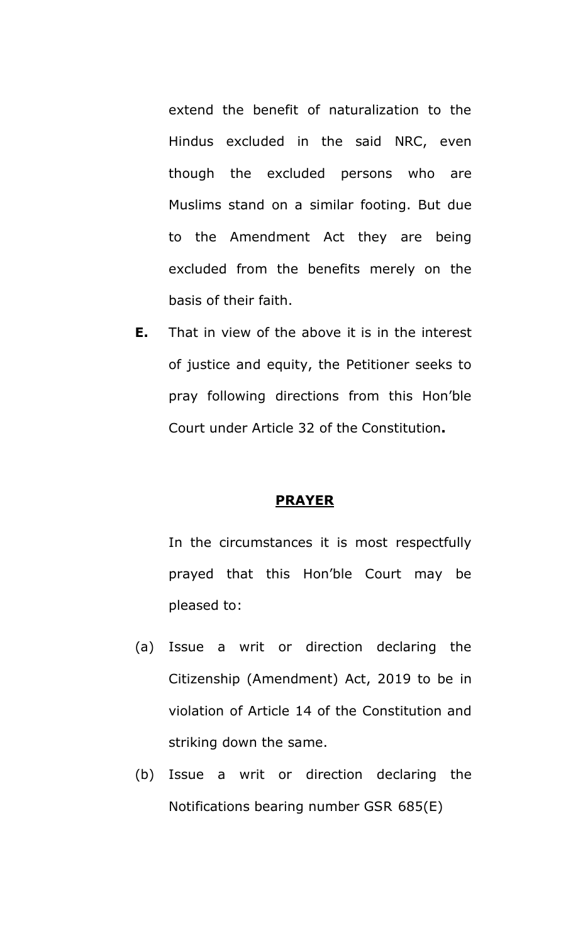extend the benefit of naturalization to the Hindus excluded in the said NRC, even though the excluded persons who are Muslims stand on a similar footing. But due to the Amendment Act they are being excluded from the benefits merely on the basis of their faith.

**E.** That in view of the above it is in the interest of justice and equity, the Petitioner seeks to pray following directions from this Hon'ble Court under Article 32 of the Constitution**.**

#### **PRAYER**

In the circumstances it is most respectfully prayed that this Hon'ble Court may be pleased to:

- (a) Issue a writ or direction declaring the Citizenship (Amendment) Act, 2019 to be in violation of Article 14 of the Constitution and striking down the same.
- (b) Issue a writ or direction declaring the Notifications bearing number GSR 685(E)